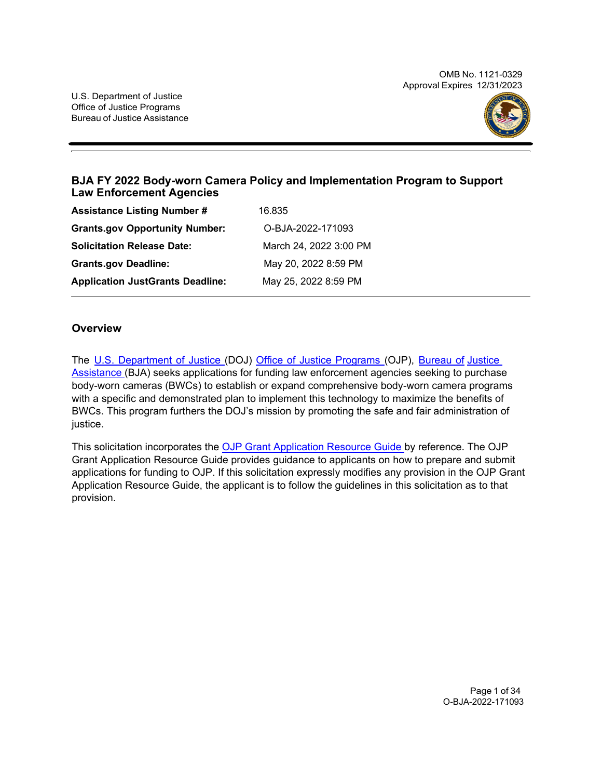OMB No. 1121-0329 Approval Expires 12/31/2023



# **BJA FY 2022 Body-worn Camera Policy and Implementation Program to Support Law Enforcement Agencies**

| <b>Assistance Listing Number #</b>      | 16.835                 |
|-----------------------------------------|------------------------|
| <b>Grants.gov Opportunity Number:</b>   | O-BJA-2022-171093      |
| <b>Solicitation Release Date:</b>       | March 24, 2022 3:00 PM |
| <b>Grants.gov Deadline:</b>             | May 20, 2022 8:59 PM   |
| <b>Application JustGrants Deadline:</b> | May 25, 2022 8:59 PM   |

### **Overview**

The U.S. [Department](https://www.usdoj.gov/) of Justice (DOJ) Office of Justice [Programs](https://www.ojp.gov/) (OJP), [Bureau](https://bja.ojp.gov/) of [Justice](https://bja.ojp.gov/)  [Assistance \(](https://bja.ojp.gov/)BJA) seeks applications for funding law enforcement agencies seeking to purchase body-worn cameras (BWCs) to establish or expand comprehensive body-worn camera programs with a specific and demonstrated plan to implement this technology to maximize the benefits of BWCs. This program furthers the DOJ's mission by promoting the safe and fair administration of justice.

This solicitation incorporates the [OJP Grant Application Resource Guide b](https://www.ojp.gov/funding/Apply/Resources/Grant-App-Resource-Guide.htm)y reference. The OJP Grant Application Resource Guide provides guidance to applicants on how to prepare and submit applications for funding to OJP. If this solicitation expressly modifies any provision in the OJP Grant Application Resource Guide, the applicant is to follow the guidelines in this solicitation as to that provision.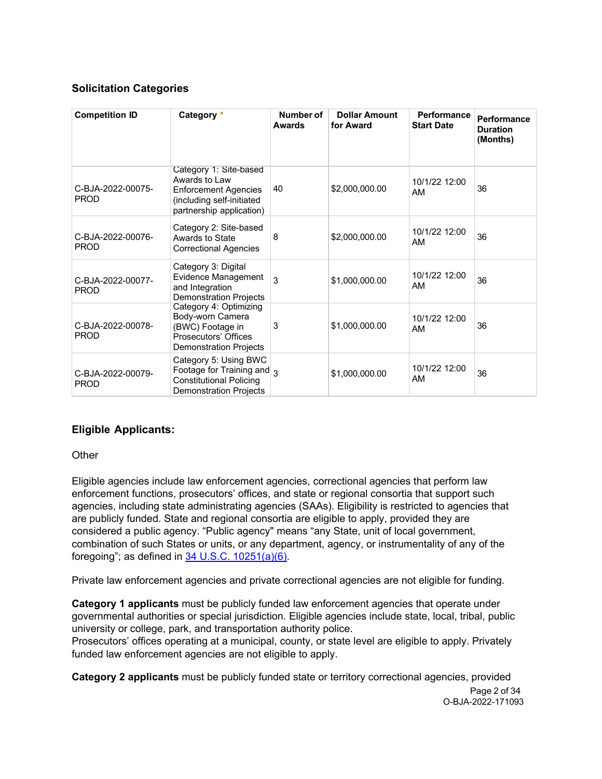# **Solicitation Categories**

| <b>Competition ID</b>            | Category *                                                                                                                | Number of<br><b>Awards</b> | <b>Dollar Amount</b><br>for Award | <b>Performance</b><br><b>Start Date</b> | Performance<br><b>Duration</b><br>(Months) |
|----------------------------------|---------------------------------------------------------------------------------------------------------------------------|----------------------------|-----------------------------------|-----------------------------------------|--------------------------------------------|
| C-BJA-2022-00075-<br><b>PROD</b> | Category 1: Site-based<br>Awards to Law<br>Enforcement Agencies<br>(including self-initiated<br>partnership application)  | 40                         | \$2,000,000.00                    | 10/1/22 12:00<br>AM                     | 36                                         |
| C-BJA-2022-00076-<br><b>PROD</b> | Category 2: Site-based<br>Awards to State<br><b>Correctional Agencies</b>                                                 | 8                          | \$2,000,000.00                    | 10/1/22 12:00<br>AM                     | 36                                         |
| C-BJA-2022-00077-<br><b>PROD</b> | Category 3: Digital<br>Evidence Management<br>and Integration<br><b>Demonstration Projects</b>                            | 3                          | \$1,000,000.00                    | 10/1/22 12:00<br>AM                     | 36                                         |
| C-BJA-2022-00078-<br><b>PROD</b> | Category 4: Optimizing<br>Body-worn Camera<br>(BWC) Footage in<br>Prosecutors' Offices<br><b>Demonstration Projects</b>   | 3                          | \$1,000,000.00                    | 10/1/22 12:00<br>AM                     | 36                                         |
| C-BJA-2022-00079-<br><b>PROD</b> | Category 5: Using BWC<br>Footage for Training and $_3$<br><b>Constitutional Policing</b><br><b>Demonstration Projects</b> |                            | \$1,000,000.00                    | 10/1/22 12:00<br>AM                     | 36                                         |

# **Eligible Applicants:**

#### **Other**

Eligible agencies include law enforcement agencies, correctional agencies that perform law enforcement functions, prosecutors' offices, and state or regional consortia that support such agencies, including state administrating agencies (SAAs). Eligibility is restricted to agencies that are publicly funded. State and regional consortia are eligible to apply, provided they are considered a public agency. "Public agency" means "any State, unit of local government, combination of such States or units, or any department, agency, or instrumentality of any of the foregoing"; as defined in  $34$  U.S.C.  $10251(a)(6)$ .

Private law enforcement agencies and private correctional agencies are not eligible for funding.

**Category 1 applicants** must be publicly funded law enforcement agencies that operate under governmental authorities or special jurisdiction. Eligible agencies include state, local, tribal, public university or college, park, and transportation authority police.

Prosecutors' offices operating at a municipal, county, or state level are eligible to apply. Privately funded law enforcement agencies are not eligible to apply.

Page 2 of 34 O-BJA-2022-171093 **Category 2 applicants** must be publicly funded state or territory correctional agencies, provided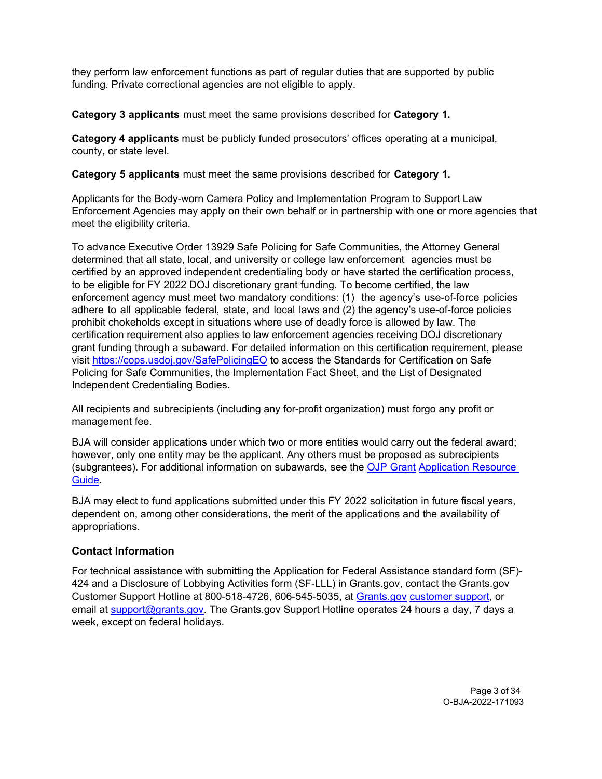they perform law enforcement functions as part of regular duties that are supported by public funding. Private correctional agencies are not eligible to apply.

**Category 3 applicants** must meet the same provisions described for **Category 1.**

**Category 4 applicants** must be publicly funded prosecutors' offices operating at a municipal, county, or state level.

**Category 5 applicants** must meet the same provisions described for **Category 1.**

Applicants for the Body-worn Camera Policy and Implementation Program to Support Law Enforcement Agencies may apply on their own behalf or in partnership with one or more agencies that meet the eligibility criteria.

To advance Executive Order 13929 Safe Policing for Safe Communities, the Attorney General determined that all state, local, and university or college law enforcement agencies must be certified by an approved independent credentialing body or have started the certification process, to be eligible for FY 2022 DOJ discretionary grant funding. To become certified, the law enforcement agency must meet two mandatory conditions: (1) the agency's use-of-force policies adhere to all applicable federal, state, and local laws and (2) the agency's use-of-force policies prohibit chokeholds except in situations where use of deadly force is allowed by law. The certification requirement also applies to law enforcement agencies receiving DOJ discretionary grant funding through a subaward. For detailed information on this certification requirement, please visit<https://cops.usdoj.gov/SafePolicingEO> to access the Standards for Certification on Safe Policing for Safe Communities, the Implementation Fact Sheet, and the List of Designated Independent Credentialing Bodies.

All recipients and subrecipients (including any for-profit organization) must forgo any profit or management fee.

BJA will consider applications under which two or more entities would carry out the federal award; however, only one entity may be the applicant. Any others must be proposed as subrecipients (subgrantees). For additional information on subawards, see the [OJP Grant](https://www.ojp.gov/funding/Apply/Resources/Grant-App-Resource-Guide.htm) [Application Resource](https://www.ojp.gov/funding/Apply/Resources/Grant-App-Resource-Guide.htm)  [Guide.](https://www.ojp.gov/funding/Apply/Resources/Grant-App-Resource-Guide.htm)

BJA may elect to fund applications submitted under this FY 2022 solicitation in future fiscal years, dependent on, among other considerations, the merit of the applications and the availability of appropriations.

### **Contact Information**

For technical assistance with submitting the Application for Federal Assistance standard form (SF)- 424 and a Disclosure of Lobbying Activities form (SF-LLL) in Grants.gov, contact the Grants.gov Customer Support Hotline at 800-518-4726, 606-545-5035, at [Grants.gov](https://www.grants.gov/web/grants/support.html) [customer support,](https://www.grants.gov/web/grants/support.html) or email at [support@grants.gov.](mailto:support@grants.gov) The Grants.gov Support Hotline operates 24 hours a day, 7 days a week, except on federal holidays.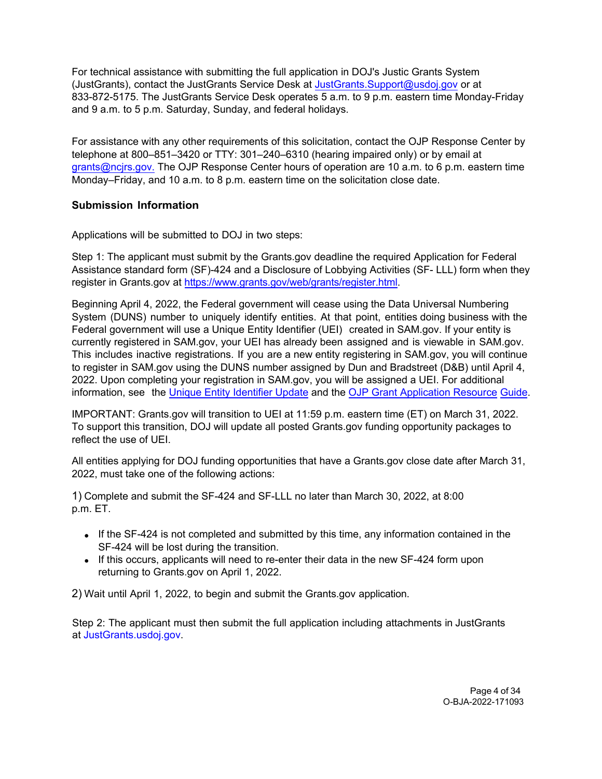For technical assistance with submitting the full application in DOJ's Justic Grants System (JustGrants), contact the JustGrants Service Desk at [JustGrants.Support@usdoj.gov](mailto:JustGrants.Support@usdoj.gov) or at 833-872-5175. The JustGrants Service Desk operates 5 a.m. to 9 p.m. eastern time Monday-Friday and 9 a.m. to 5 p.m. Saturday, Sunday, and federal holidays.

For assistance with any other requirements of this solicitation, contact the OJP Response Center by telephone at 800–851–3420 or TTY: 301–240–6310 (hearing impaired only) or by email at grants@ncjrs.gov. The OJP Response Center hours of operation are 10 a.m. to 6 p.m. eastern time [Monday–Friday,](mailto:grants@ncjrs.gov) and 10 a.m. to 8 p.m. eastern time on the solicitation close date.

### **Submission Information**

Applications will be submitted to DOJ in two steps:

Step 1: The applicant must submit by the Grants.gov deadline the required Application for Federal Assistance standard form (SF)-424 and a Disclosure of Lobbying Activities (SF- LLL) form when they register in Grants.gov at [https://www.grants.gov/web/grants/register.html.](https://www.grants.gov/web/grants/register.html)

Beginning April 4, 2022, the Federal government will cease using the Data Universal Numbering System (DUNS) number to uniquely identify entities. At that point, entities doing business with the Federal government will use a Unique Entity Identifier (UEI) created in SAM.gov. If your entity is currently registered in SAM.gov, your UEI has already been assigned and is viewable in SAM.gov. This includes inactive registrations. If you are a new entity registering in SAM.gov, you will continue to register in SAM.gov using the DUNS number assigned by Dun and Bradstreet (D&B) until April 4, 2022. Upon completing your registration in SAM.gov, you will be assigned a UEI. For additional information, see the [Unique Entity](https://www.gsa.gov/about-us/organization/federal-acquisition-service/office-of-systems-management/integrated-award-environment-iae/iae-systems-information-kit/unique-entity-identifier-update) Identifier Update and the OJP Grant Application Resource Guide.

[IMPOR](https://www.ojp.gov/funding/apply/ojp-grant-application-resource-guide#unique-entity)TANT: Grants.gov will transition to UEI at 11:59 p.m. [eastern time \(ET\)](https://www.ojp.gov/funding/apply/ojp-grant-application-resource-guide#unique-entity) on March 31, 2022. To support this transition, DOJ will update all posted Grants.gov funding opportunity packages to reflect the use of UEI.

All entities applying for DOJ funding opportunities that have a Grants.gov close date after March 31, 2022, must take one of the following actions:

1) Complete and submit the SF-424 and SF-LLL no later than March 30, 2022, at 8:00 p.m. ET.

- If the SF-424 is not completed and submitted by this time, any information contained in the SF-424 will be lost during the transition.
- If this occurs, applicants will need to re-enter their data in the new SF-424 form upon returning to Grants.gov on April 1, 2022.

2) Wait until April 1, 2022, to begin and submit the Grants.gov application.

Step 2: The applicant must then submit the full application including attachments in JustGrants at [JustGrants.usdoj.gov.](https://justicegrants.usdoj.gov/)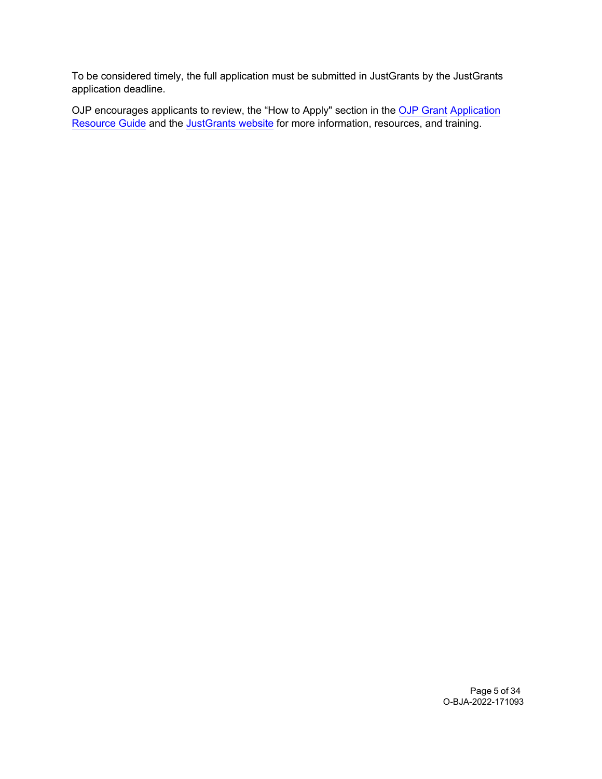To be considered timely, the full application must be submitted in JustGrants by the JustGrants application deadline.

OJP encourages applicants to review, the "How to Apply" section in the <u>OJP [Grant](https://www.ojp.gov/funding/apply/ojp-grant-application-resource-guide#apply) Application</u> [Resource Guide](https://www.ojp.gov/funding/apply/ojp-grant-application-resource-guide#apply) and the <u>JustGrants website</u> for more information, resources, and training.

> Page 5 of 34 O-BJA-2022-171093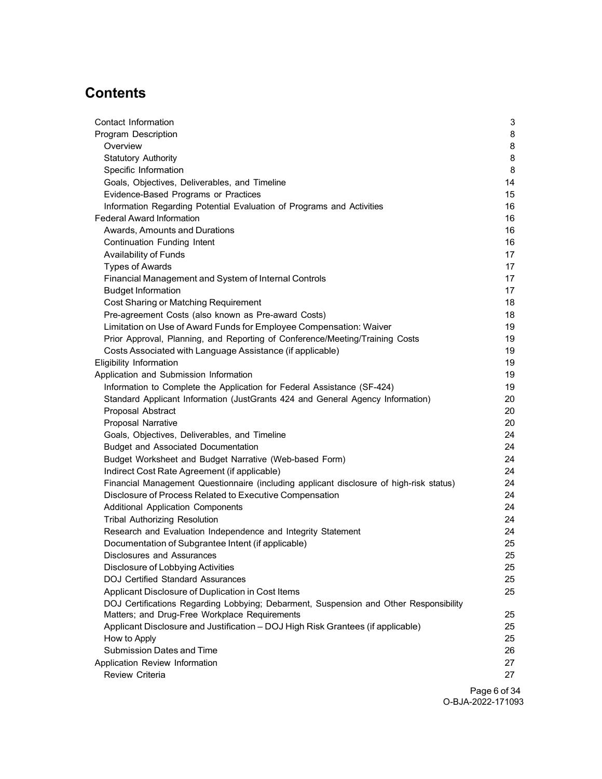# **Contents**

| Contact Information                                                                     | $\mathbf{3}$ |
|-----------------------------------------------------------------------------------------|--------------|
| Program Description                                                                     | 8            |
| Overview                                                                                | 8            |
| <b>Statutory Authority</b>                                                              | 8            |
| Specific Information                                                                    | 8            |
| Goals, Objectives, Deliverables, and Timeline                                           | 14           |
| Evidence-Based Programs or Practices                                                    | 15           |
| Information Regarding Potential Evaluation of Programs and Activities                   | 16           |
| <b>Federal Award Information</b>                                                        | 16           |
| Awards, Amounts and Durations                                                           | 16           |
| Continuation Funding Intent                                                             | 16           |
| Availability of Funds                                                                   | 17           |
| <b>Types of Awards</b>                                                                  | 17           |
| Financial Management and System of Internal Controls                                    | 17           |
| <b>Budget Information</b>                                                               | 17           |
| Cost Sharing or Matching Requirement                                                    | 18           |
| Pre-agreement Costs (also known as Pre-award Costs)                                     | 18           |
| Limitation on Use of Award Funds for Employee Compensation: Waiver                      | 19           |
| Prior Approval, Planning, and Reporting of Conference/Meeting/Training Costs            | 19           |
| Costs Associated with Language Assistance (if applicable)                               | 19           |
| Eligibility Information                                                                 | 19           |
| Application and Submission Information                                                  | 19           |
| Information to Complete the Application for Federal Assistance (SF-424)                 | 19           |
| Standard Applicant Information (JustGrants 424 and General Agency Information)          | 20           |
| Proposal Abstract                                                                       | 20           |
| Proposal Narrative                                                                      | 20           |
| Goals, Objectives, Deliverables, and Timeline                                           | 24           |
| <b>Budget and Associated Documentation</b>                                              | 24           |
| Budget Worksheet and Budget Narrative (Web-based Form)                                  | 24           |
| Indirect Cost Rate Agreement (if applicable)                                            | 24           |
| Financial Management Questionnaire (including applicant disclosure of high-risk status) | 24           |
| Disclosure of Process Related to Executive Compensation                                 | 24           |
| <b>Additional Application Components</b>                                                | 24           |
| <b>Tribal Authorizing Resolution</b>                                                    | 24           |
| Research and Evaluation Independence and Integrity Statement                            | 24           |
| Documentation of Subgrantee Intent (if applicable)                                      | 25           |
| Disclosures and Assurances                                                              | 25           |
| Disclosure of Lobbying Activities                                                       | 25           |
| <b>DOJ Certified Standard Assurances</b>                                                | 25           |
| Applicant Disclosure of Duplication in Cost Items                                       | 25           |
| DOJ Certifications Regarding Lobbying; Debarment, Suspension and Other Responsibility   |              |
| Matters; and Drug-Free Workplace Requirements                                           | 25           |
| Applicant Disclosure and Justification - DOJ High Risk Grantees (if applicable)         | 25           |
| How to Apply                                                                            | 25           |
| <b>Submission Dates and Time</b>                                                        | 26           |
| Application Review Information                                                          | 27           |
| <b>Review Criteria</b>                                                                  | 27           |
|                                                                                         |              |

Page 6 of 34 O-BJA-2022-171093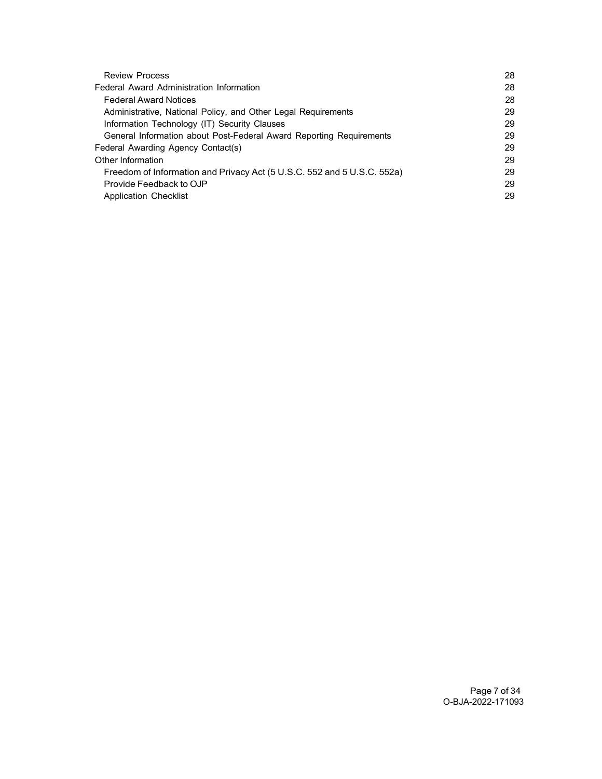| <b>Review Process</b>                                                   | 28 |
|-------------------------------------------------------------------------|----|
| Federal Award Administration Information                                | 28 |
| <b>Federal Award Notices</b>                                            | 28 |
| Administrative, National Policy, and Other Legal Requirements           | 29 |
| Information Technology (IT) Security Clauses                            | 29 |
| General Information about Post-Federal Award Reporting Requirements     | 29 |
| Federal Awarding Agency Contact(s)                                      | 29 |
| Other Information                                                       | 29 |
| Freedom of Information and Privacy Act (5 U.S.C. 552 and 5 U.S.C. 552a) | 29 |
| Provide Feedback to OJP                                                 | 29 |
| <b>Application Checklist</b>                                            | 29 |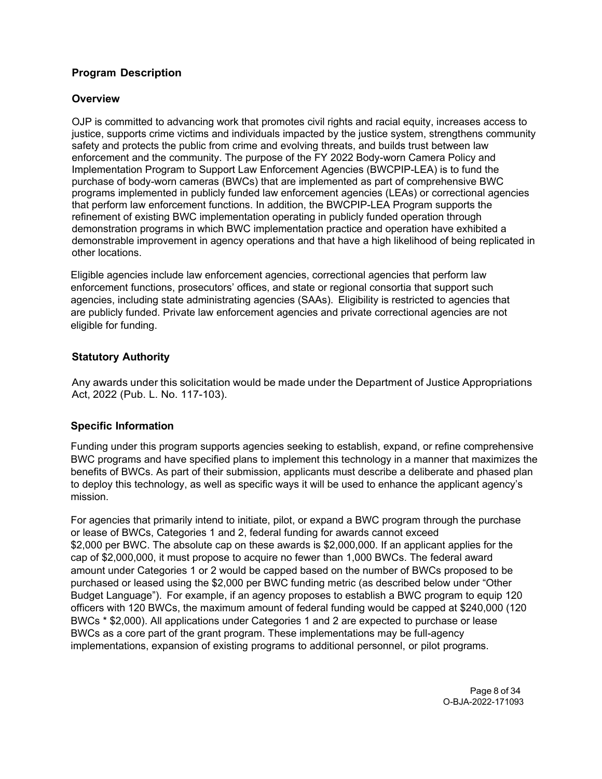# **Program Description**

### **Overview**

<span id="page-7-0"></span>OJP is committed to advancing work that promotes civil rights and racial equity, increases access to justice, supports crime victims and individuals impacted by the justice system, strengthens community safety and protects the public from crime and evolving threats, and builds trust between law enforcement and the community. The purpose of the FY 2022 Body-worn Camera Policy and Implementation Program to Support Law Enforcement Agencies (BWCPIP-LEA) is to fund the purchase of body-worn cameras (BWCs) that are implemented as part of comprehensive BWC programs implemented in publicly funded law enforcement agencies (LEAs) or correctional agencies that perform law enforcement functions. In addition, the BWCPIP-LEA Program supports the refinement of existing BWC implementation operating in publicly funded operation through demonstration programs in which BWC implementation practice and operation have exhibited a demonstrable improvement in agency operations and that have a high likelihood of being replicated in other locations.

Eligible agencies include law enforcement agencies, correctional agencies that perform law enforcement functions, prosecutors' offices, and state or regional consortia that support such agencies, including state administrating agencies (SAAs). Eligibility is restricted to agencies that are publicly funded. Private law enforcement agencies and private correctional agencies are not eligible for funding.

### <span id="page-7-1"></span>**Statutory Authority**

Any awards under this solicitation would be made under the Department of Justice Appropriations Act, 2022 (Pub. L. No. 117-103).

#### <span id="page-7-2"></span>**Specific Information**

Funding under this program supports agencies seeking to establish, expand, or refine comprehensive BWC programs and have specified plans to implement this technology in a manner that maximizes the benefits of BWCs. As part of their submission, applicants must describe a deliberate and phased plan to deploy this technology, as well as specific ways it will be used to enhance the applicant agency's mission.

For agencies that primarily intend to initiate, pilot, or expand a BWC program through the purchase or lease of BWCs, Categories 1 and 2, federal funding for awards cannot exceed \$2,000 per BWC. The absolute cap on these awards is \$2,000,000. If an applicant applies for the cap of \$2,000,000, it must propose to acquire no fewer than 1,000 BWCs. The federal award amount under Categories 1 or 2 would be capped based on the number of BWCs proposed to be purchased or leased using the \$2,000 per BWC funding metric (as described below under "Other Budget Language"). For example, if an agency proposes to establish a BWC program to equip 120 officers with 120 BWCs, the maximum amount of federal funding would be capped at \$240,000 (120 BWCs \* \$2,000). All applications under Categories 1 and 2 are expected to purchase or lease BWCs as a core part of the grant program. These implementations may be full-agency implementations, expansion of existing programs to additional personnel, or pilot programs.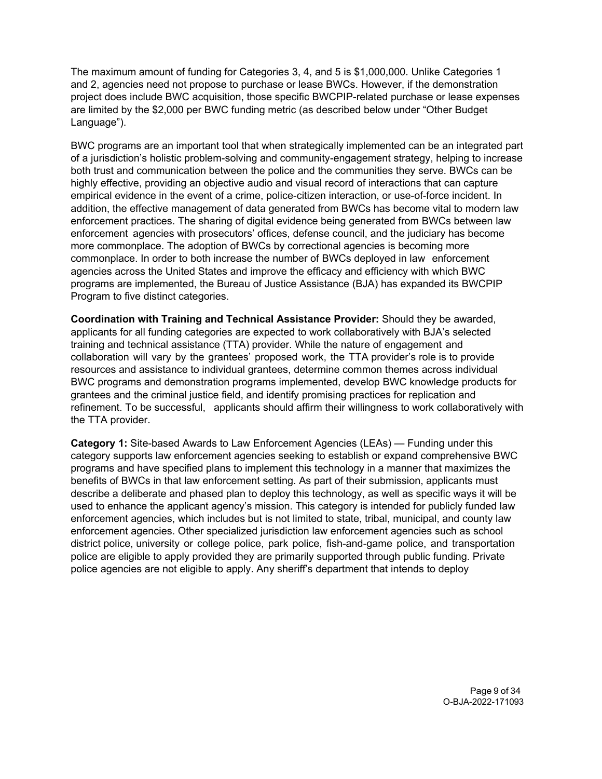The maximum amount of funding for Categories 3, 4, and 5 is \$1,000,000. Unlike Categories 1 and 2, agencies need not propose to purchase or lease BWCs. However, if the demonstration project does include BWC acquisition, those specific BWCPIP-related purchase or lease expenses are limited by the \$2,000 per BWC funding metric (as described below under "Other Budget Language").

BWC programs are an important tool that when strategically implemented can be an integrated part of a jurisdiction's holistic problem-solving and community-engagement strategy, helping to increase both trust and communication between the police and the communities they serve. BWCs can be highly effective, providing an objective audio and visual record of interactions that can capture empirical evidence in the event of a crime, police-citizen interaction, or use-of-force incident. In addition, the effective management of data generated from BWCs has become vital to modern law enforcement practices. The sharing of digital evidence being generated from BWCs between law enforcement agencies with prosecutors' offices, defense council, and the judiciary has become more commonplace. The adoption of BWCs by correctional agencies is becoming more commonplace. In order to both increase the number of BWCs deployed in law enforcement agencies across the United States and improve the efficacy and efficiency with which BWC programs are implemented, the Bureau of Justice Assistance (BJA) has expanded its BWCPIP Program to five distinct categories.

**Coordination with Training and Technical Assistance Provider:** Should they be awarded, applicants for all funding categories are expected to work collaboratively with BJA's selected training and technical assistance (TTA) provider. While the nature of engagement and collaboration will vary by the grantees' proposed work, the TTA provider's role is to provide resources and assistance to individual grantees, determine common themes across individual BWC programs and demonstration programs implemented, develop BWC knowledge products for grantees and the criminal justice field, and identify promising practices for replication and refinement. To be successful, applicants should affirm their willingness to work collaboratively with the TTA provider.

**Category 1:** Site-based Awards to Law Enforcement Agencies (LEAs) — Funding under this category supports law enforcement agencies seeking to establish or expand comprehensive BWC programs and have specified plans to implement this technology in a manner that maximizes the benefits of BWCs in that law enforcement setting. As part of their submission, applicants must describe a deliberate and phased plan to deploy this technology, as well as specific ways it will be used to enhance the applicant agency's mission. This category is intended for publicly funded law enforcement agencies, which includes but is not limited to state, tribal, municipal, and county law enforcement agencies. Other specialized jurisdiction law enforcement agencies such as school district police, university or college police, park police, fish-and-game police, and transportation police are eligible to apply provided they are primarily supported through public funding. Private police agencies are not eligible to apply. Any sheriff's department that intends to deploy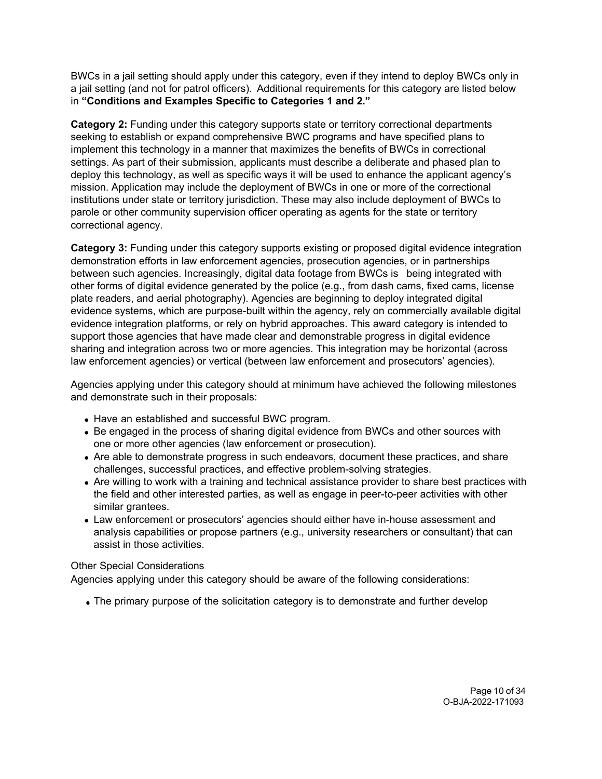BWCs in a jail setting should apply under this category, even if they intend to deploy BWCs only in a jail setting (and not for patrol officers). Additional requirements for this category are listed below in **"Conditions and Examples Specific to Categories 1 and 2."**

**Category 2:** Funding under this category supports state or territory correctional departments seeking to establish or expand comprehensive BWC programs and have specified plans to implement this technology in a manner that maximizes the benefits of BWCs in correctional settings. As part of their submission, applicants must describe a deliberate and phased plan to deploy this technology, as well as specific ways it will be used to enhance the applicant agency's mission. Application may include the deployment of BWCs in one or more of the correctional institutions under state or territory jurisdiction. These may also include deployment of BWCs to parole or other community supervision officer operating as agents for the state or territory correctional agency.

**Category 3:** Funding under this category supports existing or proposed digital evidence integration demonstration efforts in law enforcement agencies, prosecution agencies, or in partnerships between such agencies. Increasingly, digital data footage from BWCs is being integrated with other forms of digital evidence generated by the police (e.g., from dash cams, fixed cams, license plate readers, and aerial photography). Agencies are beginning to deploy integrated digital evidence systems, which are purpose-built within the agency, rely on commercially available digital evidence integration platforms, or rely on hybrid approaches. This award category is intended to support those agencies that have made clear and demonstrable progress in digital evidence sharing and integration across two or more agencies. This integration may be horizontal (across law enforcement agencies) or vertical (between law enforcement and prosecutors' agencies).

Agencies applying under this category should at minimum have achieved the following milestones and demonstrate such in their proposals:

- Have an established and successful BWC program.
- Be engaged in the process of sharing digital evidence from BWCs and other sources with one or more other agencies (law enforcement or prosecution).
- Are able to demonstrate progress in such endeavors, document these practices, and share challenges, successful practices, and effective problem-solving strategies.
- Are willing to work with a training and technical assistance provider to share best practices with the field and other interested parties, as well as engage in peer-to-peer activities with other similar grantees.
- Law enforcement or prosecutors' agencies should either have in-house assessment and analysis capabilities or propose partners (e.g., university researchers or consultant) that can assist in those activities.

### Other Special Considerations

Agencies applying under this category should be aware of the following considerations:

The primary purpose of the solicitation category is to demonstrate and further develop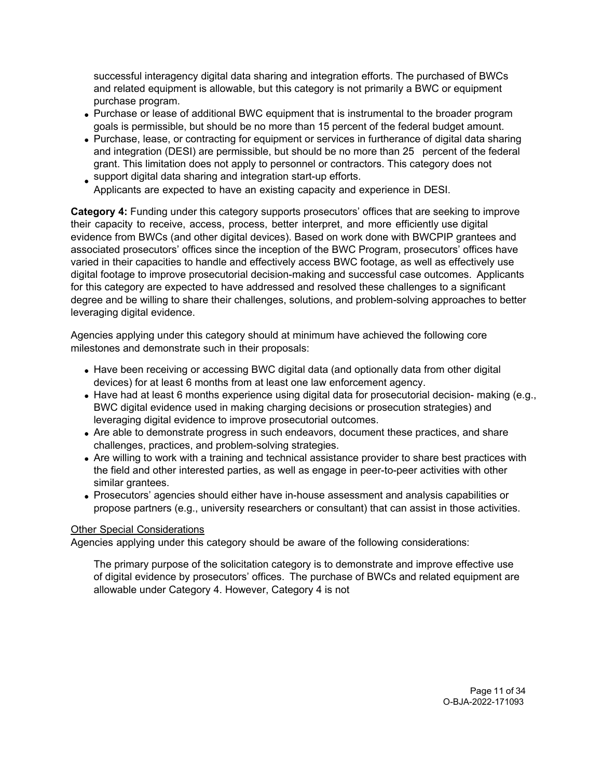successful interagency digital data sharing and integration efforts. The purchased of BWCs and related equipment is allowable, but this category is not primarily a BWC or equipment purchase program.

- Purchase or lease of additional BWC equipment that is instrumental to the broader program goals is permissible, but should be no more than 15 percent of the federal budget amount.
- Purchase, lease, or contracting for equipment or services in furtherance of digital data sharing and integration (DESI) are permissible, but should be no more than 25 percent of the federal grant. This limitation does not apply to personnel or contractors. This category does not support digital data sharing and integration start-up efforts.
- Applicants are expected to have an existing capacity and experience in DESI.

**Category 4:** Funding under this category supports prosecutors' offices that are seeking to improve their capacity to receive, access, process, better interpret, and more efficiently use digital evidence from BWCs (and other digital devices). Based on work done with BWCPIP grantees and associated prosecutors' offices since the inception of the BWC Program, prosecutors' offices have varied in their capacities to handle and effectively access BWC footage, as well as effectively use digital footage to improve prosecutorial decision-making and successful case outcomes. Applicants for this category are expected to have addressed and resolved these challenges to a significant degree and be willing to share their challenges, solutions, and problem-solving approaches to better leveraging digital evidence.

Agencies applying under this category should at minimum have achieved the following core milestones and demonstrate such in their proposals:

- Have been receiving or accessing BWC digital data (and optionally data from other digital devices) for at least 6 months from at least one law enforcement agency.
- Have had at least 6 months experience using digital data for prosecutorial decision- making (e.g., BWC digital evidence used in making charging decisions or prosecution strategies) and leveraging digital evidence to improve prosecutorial outcomes.
- Are able to demonstrate progress in such endeavors, document these practices, and share challenges, practices, and problem-solving strategies.
- Are willing to work with a training and technical assistance provider to share best practices with the field and other interested parties, as well as engage in peer-to-peer activities with other similar grantees.
- Prosecutors' agencies should either have in-house assessment and analysis capabilities or propose partners (e.g., university researchers or consultant) that can assist in those activities.

#### Other Special Considerations

Agencies applying under this category should be aware of the following considerations:

The primary purpose of the solicitation category is to demonstrate and improve effective use of digital evidence by prosecutors' offices. The purchase of BWCs and related equipment are allowable under Category 4. However, Category 4 is not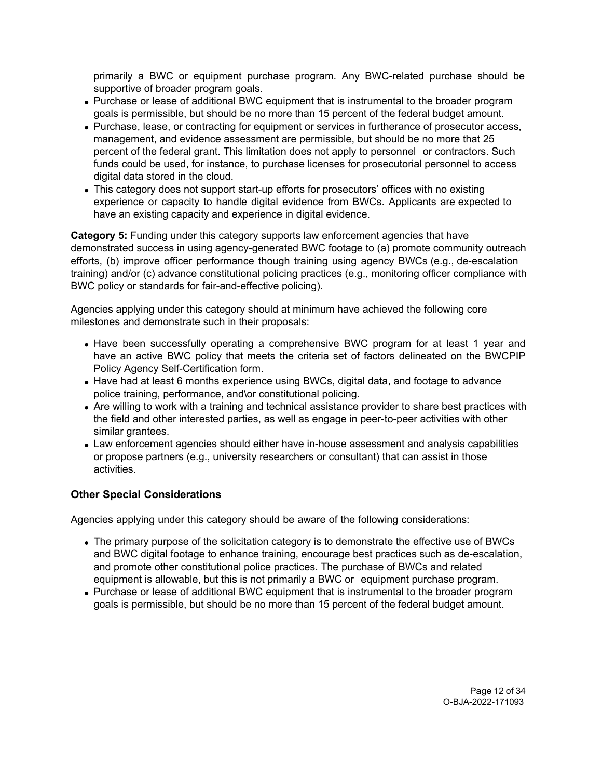primarily a BWC or equipment purchase program. Any BWC-related purchase should be supportive of broader program goals.

- Purchase or lease of additional BWC equipment that is instrumental to the broader program goals is permissible, but should be no more than 15 percent of the federal budget amount.
- Purchase, lease, or contracting for equipment or services in furtherance of prosecutor access, management, and evidence assessment are permissible, but should be no more that 25 percent of the federal grant. This limitation does not apply to personnel or contractors. Such funds could be used, for instance, to purchase licenses for prosecutorial personnel to access digital data stored in the cloud.
- This category does not support start-up efforts for prosecutors' offices with no existing experience or capacity to handle digital evidence from BWCs. Applicants are expected to have an existing capacity and experience in digital evidence.

**Category 5:** Funding under this category supports law enforcement agencies that have demonstrated success in using agency-generated BWC footage to (a) promote community outreach efforts, (b) improve officer performance though training using agency BWCs (e.g., de-escalation training) and/or (c) advance constitutional policing practices (e.g., monitoring officer compliance with BWC policy or standards for fair-and-effective policing).

Agencies applying under this category should at minimum have achieved the following core milestones and demonstrate such in their proposals:

- Have been successfully operating a comprehensive BWC program for at least 1 year and have an active BWC policy that meets the criteria set of factors delineated on the BWCPIP Policy Agency Self-Certification form.
- Have had at least 6 months experience using BWCs, digital data, and footage to advance police training, performance, and\or constitutional policing.
- Are willing to work with a training and technical assistance provider to share best practices with the field and other interested parties, as well as engage in peer-to-peer activities with other similar grantees.
- Law enforcement agencies should either have in-house assessment and analysis capabilities or propose partners (e.g., university researchers or consultant) that can assist in those activities.

# **Other Special Considerations**

Agencies applying under this category should be aware of the following considerations:

- The primary purpose of the solicitation category is to demonstrate the effective use of BWCs and BWC digital footage to enhance training, encourage best practices such as de-escalation, and promote other constitutional police practices. The purchase of BWCs and related equipment is allowable, but this is not primarily a BWC or equipment purchase program.
- Purchase or lease of additional BWC equipment that is instrumental to the broader program goals is permissible, but should be no more than 15 percent of the federal budget amount.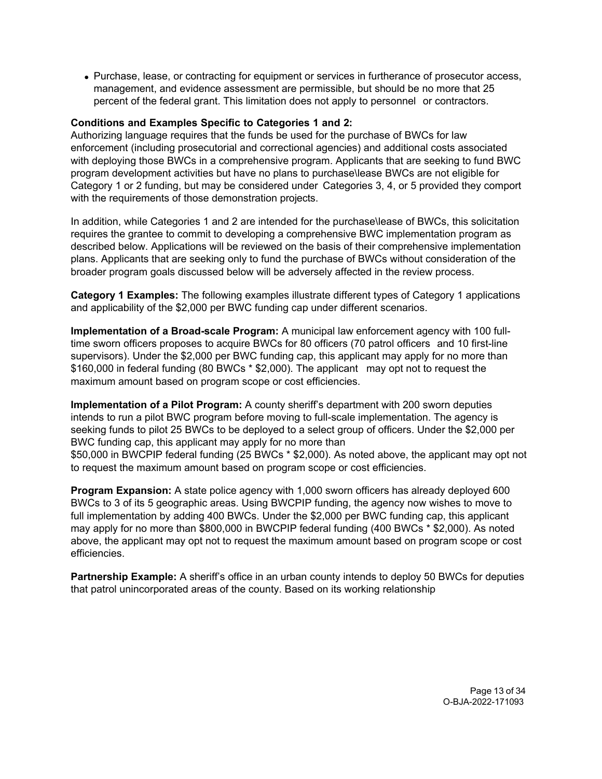Purchase, lease, or contracting for equipment or services in furtherance of prosecutor access, management, and evidence assessment are permissible, but should be no more that 25 percent of the federal grant. This limitation does not apply to personnel or contractors.

### **Conditions and Examples Specific to Categories 1 and 2:**

Authorizing language requires that the funds be used for the purchase of BWCs for law enforcement (including prosecutorial and correctional agencies) and additional costs associated with deploying those BWCs in a comprehensive program. Applicants that are seeking to fund BWC program development activities but have no plans to purchase\lease BWCs are not eligible for Category 1 or 2 funding, but may be considered under Categories 3, 4, or 5 provided they comport with the requirements of those demonstration projects.

In addition, while Categories 1 and 2 are intended for the purchase\lease of BWCs, this solicitation requires the grantee to commit to developing a comprehensive BWC implementation program as described below. Applications will be reviewed on the basis of their comprehensive implementation plans. Applicants that are seeking only to fund the purchase of BWCs without consideration of the broader program goals discussed below will be adversely affected in the review process.

**Category 1 Examples:** The following examples illustrate different types of Category 1 applications and applicability of the \$2,000 per BWC funding cap under different scenarios.

**Implementation of a Broad-scale Program:** A municipal law enforcement agency with 100 fulltime sworn officers proposes to acquire BWCs for 80 officers (70 patrol officers and 10 first-line supervisors). Under the \$2,000 per BWC funding cap, this applicant may apply for no more than \$160,000 in federal funding (80 BWCs \* \$2,000). The applicant may opt not to request the maximum amount based on program scope or cost efficiencies.

**Implementation of a Pilot Program:** A county sheriff's department with 200 sworn deputies intends to run a pilot BWC program before moving to full-scale implementation. The agency is seeking funds to pilot 25 BWCs to be deployed to a select group of officers. Under the \$2,000 per BWC funding cap, this applicant may apply for no more than \$50,000 in BWCPIP federal funding (25 BWCs \* \$2,000). As noted above, the applicant may opt not

to request the maximum amount based on program scope or cost efficiencies.

**Program Expansion:** A state police agency with 1,000 sworn officers has already deployed 600 BWCs to 3 of its 5 geographic areas. Using BWCPIP funding, the agency now wishes to move to full implementation by adding 400 BWCs. Under the \$2,000 per BWC funding cap, this applicant may apply for no more than \$800,000 in BWCPIP federal funding (400 BWCs \* \$2,000). As noted above, the applicant may opt not to request the maximum amount based on program scope or cost efficiencies.

**Partnership Example:** A sheriff's office in an urban county intends to deploy 50 BWCs for deputies that patrol unincorporated areas of the county. Based on its working relationship

> Page 13 of 34 O-BJA-2022-171093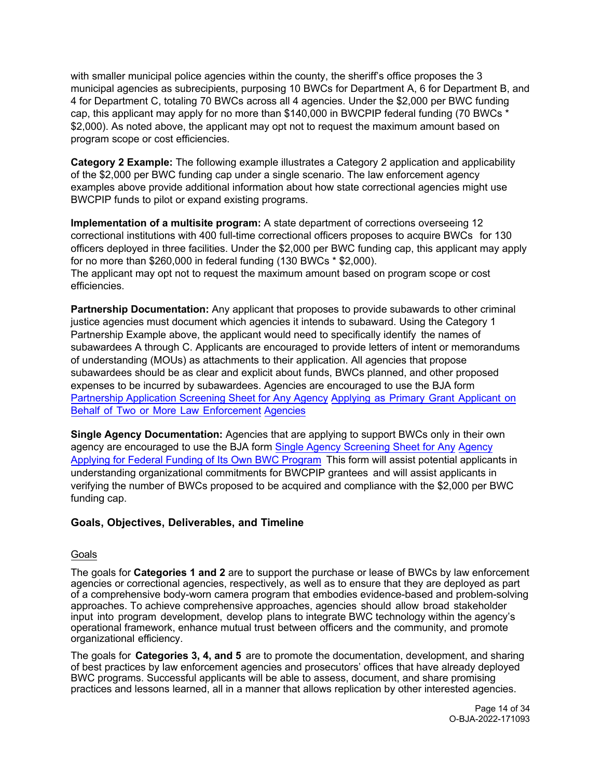with smaller municipal police agencies within the county, the sheriff's office proposes the 3 municipal agencies as subrecipients, purposing 10 BWCs for Department A, 6 for Department B, and 4 for Department C, totaling 70 BWCs across all 4 agencies. Under the \$2,000 per BWC funding cap, this applicant may apply for no more than \$140,000 in BWCPIP federal funding (70 BWCs \* \$2,000). As noted above, the applicant may opt not to request the maximum amount based on program scope or cost efficiencies.

**Category 2 Example:** The following example illustrates a Category 2 application and applicability of the \$2,000 per BWC funding cap under a single scenario. The law enforcement agency examples above provide additional information about how state correctional agencies might use BWCPIP funds to pilot or expand existing programs.

**Implementation of a multisite program:** A state department of corrections overseeing 12 correctional institutions with 400 full-time correctional officers proposes to acquire BWCs for 130 officers deployed in three facilities. Under the \$2,000 per BWC funding cap, this applicant may apply for no more than \$260,000 in federal funding (130 BWCs \* \$2,000). The applicant may opt not to request the maximum amount based on program scope or cost efficiencies.

**Partnership Documentation:** Any applicant that proposes to provide subawards to other criminal justice agencies must document which agencies it intends to subaward. Using the Category 1 Partnership Example above, the applicant would need to specifically identify the names of subawardees A through C. Applicants are encouraged to provide letters of intent or memorandums of understanding (MOUs) as attachments to their application. All agencies that propose subawardees should be as clear and explicit about funds, BWCs planned, and other proposed expenses to be incurred by subawardees. Agencies are encouraged to use the BJA form [Partnership Application Screening Sheet for Any Agency](https://bja.ojp.gov/sites/g/files/xyckuh186/files/media/document/BWCPIPFY2021_ScreeningForm_PartnerApplication_508C.pdf) Applying as Primary Grant [Applicant](https://bja.ojp.gov/sites/g/files/xyckuh186/files/media/document/BWCPIPFY2021_ScreeningForm_PartnerApplication_508C.pdf) on Behalf of Two or More Law [Enforcement](https://bja.ojp.gov/sites/g/files/xyckuh186/files/media/document/BWCPIPFY2021_ScreeningForm_PartnerApplication_508C.pdf) [Agencies](https://bja.ojp.gov/sites/g/files/xyckuh186/files/media/document/BWCPIPFY2021_ScreeningForm_PartnerApplication_508C.pdf)

**Single Agency Documentation:** Agencies that are applying to support BWCs only in their own agency are encouraged to use the BJA form [Single Agency Screening Sheet](https://bja.ojp.gov/sites/g/files/xyckuh186/files/media/document/BWCPIPFY2021_ScreeningForm_SingularApplication_508C.pdf) for Any [Agency](https://bja.ojp.gov/sites/g/files/xyckuh186/files/media/document/BWCPIPFY2021_ScreeningForm_SingularApplication_508C.pdf)  [Applying for Federal Funding of Its Own BWC Program](https://bja.ojp.gov/sites/g/files/xyckuh186/files/media/document/BWCPIPFY2021_ScreeningForm_SingularApplication_508C.pdf) This form will assist potential applicants in understanding organizational commitments for BWCPIP grantees and will assist applicants in verifying the number of BWCs proposed to be acquired and compliance with the \$2,000 per BWC funding cap.

### <span id="page-13-0"></span>**Goals, Objectives, Deliverables, and Timeline**

### Goals

The goals for **Categories 1 and 2** are to support the purchase or lease of BWCs by law enforcement agencies or correctional agencies, respectively, as well as to ensure that they are deployed as part of a comprehensive body-worn camera program that embodies evidence-based and problem-solving approaches. To achieve comprehensive approaches, agencies should allow broad stakeholder input into program development, develop plans to integrate BWC technology within the agency's operational framework, enhance mutual trust between officers and the community, and promote organizational efficiency.

The goals for **Categories 3, 4, and 5** are to promote the documentation, development, and sharing of best practices by law enforcement agencies and prosecutors' offices that have already deployed BWC programs. Successful applicants will be able to assess, document, and share promising practices and lessons learned, all in a manner that allows replication by other interested agencies.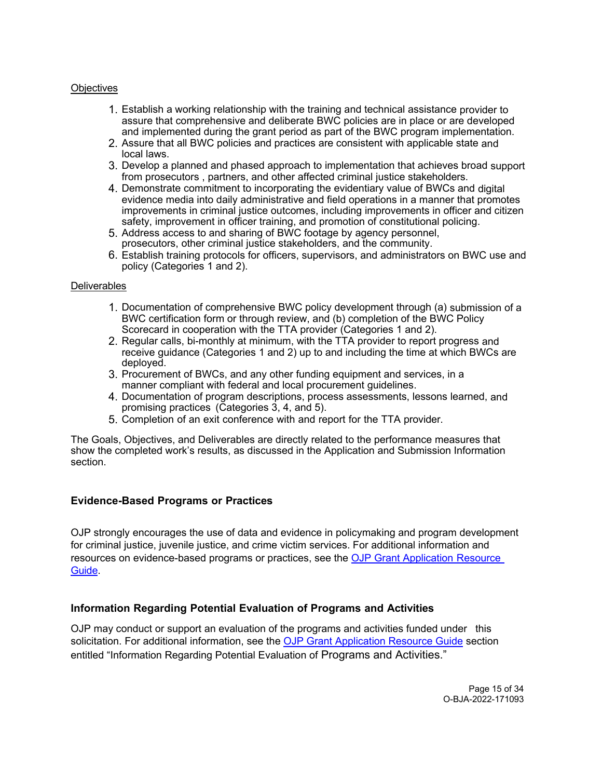#### **Objectives**

- 1. Establish a working relationship with the training and technical assistance provider to assure that comprehensive and deliberate BWC policies are in place or are developed and implemented during the grant period as part of the BWC program implementation.
- 2. Assure that all BWC policies and practices are consistent with applicable state and local laws.
- 3. Develop a planned and phased approach to implementation that achieves broad support from prosecutors , partners, and other affected criminal justice stakeholders.
- 4. Demonstrate commitment to incorporating the evidentiary value of BWCs and digital evidence media into daily administrative and field operations in a manner that promotes improvements in criminal justice outcomes, including improvements in officer and citizen safety, improvement in officer training, and promotion of constitutional policing.
- 5. Address access to and sharing of BWC footage by agency personnel, prosecutors, other criminal justice stakeholders, and the community.
- 6. Establish training protocols for officers, supervisors, and administrators on BWC use and policy (Categories 1 and 2).

#### **Deliverables**

- 1. Documentation of comprehensive BWC policy development through (a) submission of a BWC certification form or through review, and (b) completion of the BWC Policy Scorecard in cooperation with the TTA provider (Categories 1 and 2).
- 2. Regular calls, bi-monthly at minimum, with the TTA provider to report progress and receive guidance (Categories 1 and 2) up to and including the time at which BWCs are deployed.
- 3. Procurement of BWCs, and any other funding equipment and services, in a manner compliant with federal and local procurement guidelines.
- 4. Documentation of program descriptions, process assessments, lessons learned, and promising practices (Categories 3, 4, and 5).
- 5. Completion of an exit conference with and report for the TTA provider.

The Goals, Objectives, and Deliverables are directly related to the performance measures that show the completed work's results, as discussed in the Application and Submission Information section.

#### <span id="page-14-0"></span>**Evidence-Based Programs or Practices**

OJP strongly encourages the use of data and evidence in policymaking and program development for criminal justice, juvenile justice, and crime victim services. For additional information and resources on evidence-based programs or practices, see the [OJP Grant](https://www.ojp.gov/funding/apply/ojp-grant-application-resource-guide#evidence-based) [Application](https://www.ojp.gov/funding/apply/ojp-grant-application-resource-guide#evidence-based) Resource [Guide.](https://www.ojp.gov/funding/apply/ojp-grant-application-resource-guide#evidence-based)

#### <span id="page-14-1"></span>**Information Regarding Potential Evaluation of Programs and Activities**

<span id="page-14-2"></span>OJP may conduct or support an evaluation of the programs and activities funded under this solicitation. For additional information, see the [OJP Grant Application Resource Guide](https://www.ojp.gov/funding/apply/ojp-grant-application-resource-guide#potential-evaluation) section entitled "Information Regarding Potential Evaluation of Programs and Activities."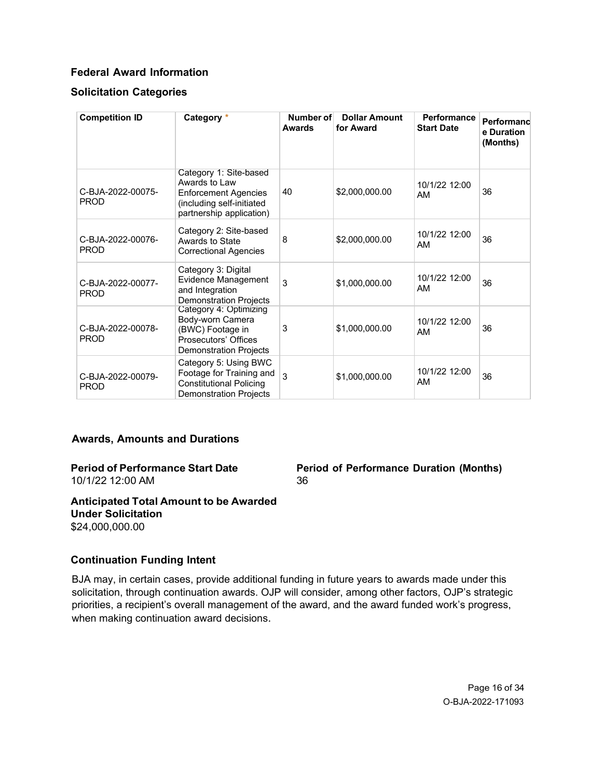### **Federal Award Information**

### **Solicitation Categories**

| <b>Competition ID</b>            | Category *                                                                                                                      | Number of<br><b>Awards</b> | <b>Dollar Amount</b><br>for Award | Performance<br><b>Start Date</b> | Performand<br>e Duration<br>(Months) |
|----------------------------------|---------------------------------------------------------------------------------------------------------------------------------|----------------------------|-----------------------------------|----------------------------------|--------------------------------------|
| C-BJA-2022-00075-<br><b>PROD</b> | Category 1: Site-based<br>Awards to Law<br><b>Enforcement Agencies</b><br>(including self-initiated<br>partnership application) | 40                         | \$2,000,000.00                    | 10/1/22 12:00<br>AM              | 36                                   |
| C-BJA-2022-00076-<br><b>PROD</b> | Category 2: Site-based<br>Awards to State<br><b>Correctional Agencies</b>                                                       | 8                          | \$2,000,000.00                    | 10/1/22 12:00<br>AM              | 36                                   |
| C-BJA-2022-00077-<br><b>PROD</b> | Category 3: Digital<br><b>Evidence Management</b><br>and Integration<br><b>Demonstration Projects</b>                           | 3                          | \$1,000,000.00                    | 10/1/22 12:00<br>AM              | 36                                   |
| C-BJA-2022-00078-<br><b>PROD</b> | Category 4: Optimizing<br>Body-worn Camera<br>(BWC) Footage in<br>Prosecutors' Offices<br><b>Demonstration Projects</b>         | 3                          | \$1,000,000.00                    | 10/1/22 12:00<br>AM              | 36                                   |
| C-BJA-2022-00079-<br><b>PROD</b> | Category 5: Using BWC<br>Footage for Training and<br><b>Constitutional Policing</b><br><b>Demonstration Projects</b>            | 3                          | \$1,000,000.00                    | 10/1/22 12:00<br>AM              | 36                                   |

#### <span id="page-15-0"></span>**Awards, Amounts and Durations**

#### **Period of Performance Start Date** 10/1/22 12:00 AM

**Period of Performance Duration (Months)** 36

#### **Anticipated Total Amount to be Awarded Under Solicitation** \$24,000,000.00

#### <span id="page-15-1"></span>**Continuation Funding Intent**

BJA may, in certain cases, provide additional funding in future years to awards made under this solicitation, through continuation awards. OJP will consider, among other factors, OJP's strategic priorities, a recipient's overall management of the award, and the award funded work's progress, when making continuation award decisions.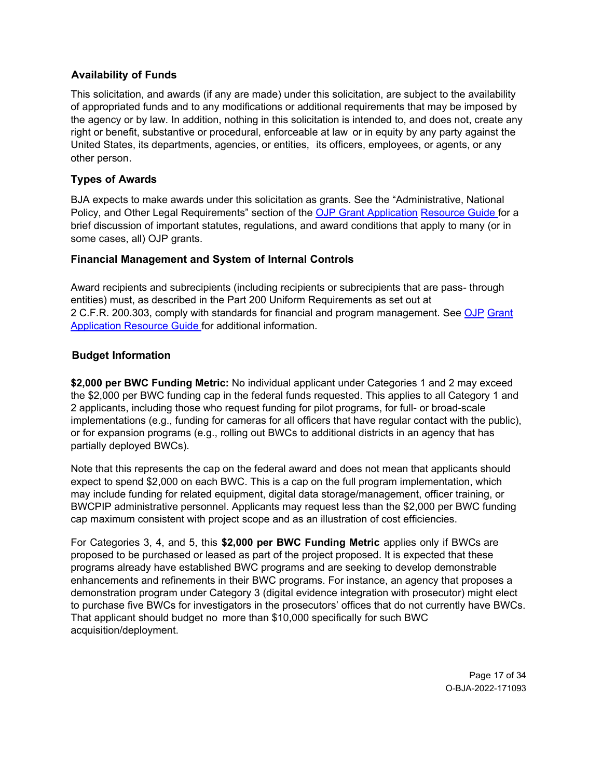### <span id="page-16-0"></span>**Availability of Funds**

This solicitation, and awards (if any are made) under this solicitation, are subject to the availability of appropriated funds and to any modifications or additional requirements that may be imposed by the agency or by law. In addition, nothing in this solicitation is intended to, and does not, create any right or benefit, substantive or procedural, enforceable at law or in equity by any party against the United States, its departments, agencies, or entities, its officers, employees, or agents, or any other person.

### <span id="page-16-1"></span>**Types of Awards**

BJA expects to make awards under this solicitation as grants. See the "Administrative, National Policy, and Other Legal Requirements" section of the [OJP Grant Application](https://www.ojp.gov/funding/apply/ojp-grant-application-resource-guide#administrative) [Resource Guide f](https://www.ojp.gov/funding/apply/ojp-grant-application-resource-guide#administrative)or a brief discussion of important statutes, regulations, and award conditions that apply to many (or in some cases, all) OJP grants.

### <span id="page-16-2"></span>**Financial Management and System of Internal Controls**

Award recipients and subrecipients (including recipients or subrecipients that are pass- through entities) must, as described in the Part 200 Uniform Requirements as set out at 2 C.F.R. 200.303, comply with standards for financial and program management. See [OJP](https://www.ojp.gov/funding/apply/ojp-grant-application-resource-guide#fm-internal-controls) [Grant](https://www.ojp.gov/funding/apply/ojp-grant-application-resource-guide#fm-internal-controls) [Application Resource Guide f](https://www.ojp.gov/funding/apply/ojp-grant-application-resource-guide#fm-internal-controls)or additional information.

### <span id="page-16-3"></span>**Budget Information**

**\$2,000 per BWC Funding Metric:** No individual applicant under Categories 1 and 2 may exceed the \$2,000 per BWC funding cap in the federal funds requested. This applies to all Category 1 and 2 applicants, including those who request funding for pilot programs, for full- or broad-scale implementations (e.g., funding for cameras for all officers that have regular contact with the public), or for expansion programs (e.g., rolling out BWCs to additional districts in an agency that has partially deployed BWCs).

Note that this represents the cap on the federal award and does not mean that applicants should expect to spend \$2,000 on each BWC. This is a cap on the full program implementation, which may include funding for related equipment, digital data storage/management, officer training, or BWCPIP administrative personnel. Applicants may request less than the \$2,000 per BWC funding cap maximum consistent with project scope and as an illustration of cost efficiencies.

For Categories 3, 4, and 5, this **\$2,000 per BWC Funding Metric** applies only if BWCs are proposed to be purchased or leased as part of the project proposed. It is expected that these programs already have established BWC programs and are seeking to develop demonstrable enhancements and refinements in their BWC programs. For instance, an agency that proposes a demonstration program under Category 3 (digital evidence integration with prosecutor) might elect to purchase five BWCs for investigators in the prosecutors' offices that do not currently have BWCs. That applicant should budget no more than \$10,000 specifically for such BWC acquisition/deployment.

> Page 17 of 34 O-BJA-2022-171093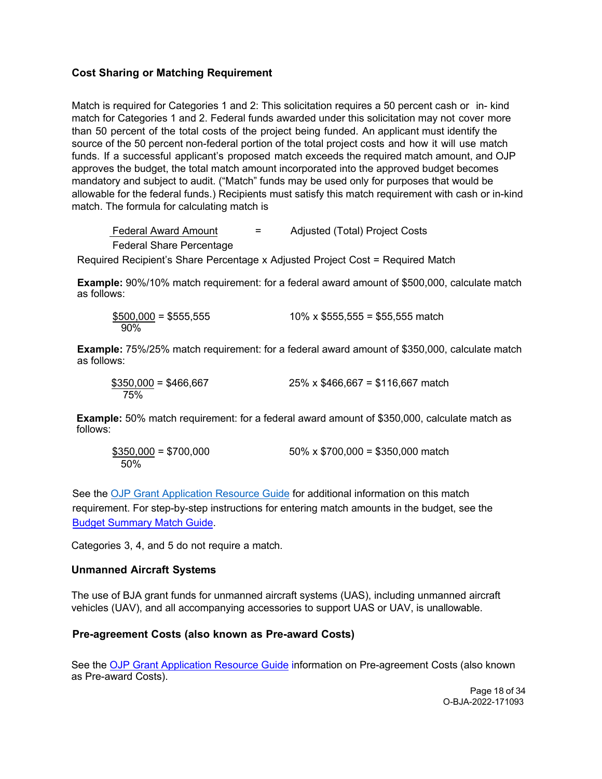### <span id="page-17-0"></span>**Cost Sharing or Matching Requirement**

Match is required for Categories 1 and 2: This solicitation requires a 50 percent cash or in- kind match for Categories 1 and 2. Federal funds awarded under this solicitation may not cover more than 50 percent of the total costs of the project being funded. An applicant must identify the source of the 50 percent non-federal portion of the total project costs and how it will use match funds. If a successful applicant's proposed match exceeds the required match amount, and OJP approves the budget, the total match amount incorporated into the approved budget becomes mandatory and subject to audit. ("Match" funds may be used only for purposes that would be allowable for the federal funds.) Recipients must satisfy this match requirement with cash or in-kind match. The formula for calculating match is

Federal Award Amount = Adjusted (Total) Project Costs Federal Share Percentage Required Recipient's Share Percentage x Adjusted Project Cost = Required Match

**Example:** 90%/10% match requirement: for a federal award amount of \$500,000, calculate match as follows:

| $$500,000 = $555,555$ | 10% x $$555,555 = $55,555$ match |
|-----------------------|----------------------------------|
| 90%                   |                                  |

**Example:** 75%/25% match requirement: for a federal award amount of \$350,000, calculate match as follows:

| $$350,000 = $466,667$ | $25\% \times $466,667 = $116,667$ match |
|-----------------------|-----------------------------------------|
| 75%                   |                                         |

**Example:** 50% match requirement: for a federal award amount of \$350,000, calculate match as follows:

| $$350,000 = $700,000$ | $50\% \times $700,000 = $350,000$ match |
|-----------------------|-----------------------------------------|
| .50%                  |                                         |

See the OJP Grant Application Resource Guide for additional information on this match requirement. For step-by-step instructions for entering match amounts in the budget, see the Budget Summary Match Guide.

Categories 3, 4, and 5 do not require a match.

#### <span id="page-17-1"></span>**Unmanned Aircraft Systems**

The us[e of BJA grant funds for unmanned aircraf](https://www.ojp.gov/funding/apply/ojp-grant-application-resource-guide#pre-agreement-costs)t systems (UAS), including unmanned aircraft vehicles (UAV), and all accompanying accessories to support UAS or UAV, is unallowable.

#### **Pre-agreement Costs (also known as Pre-award Costs)**

<span id="page-17-2"></span>See the OJP Grant Application Resource Guide information on Pre-agreement Costs (also known as Pre-award Costs).

> Page 18 of 34 O-BJA-2022-171093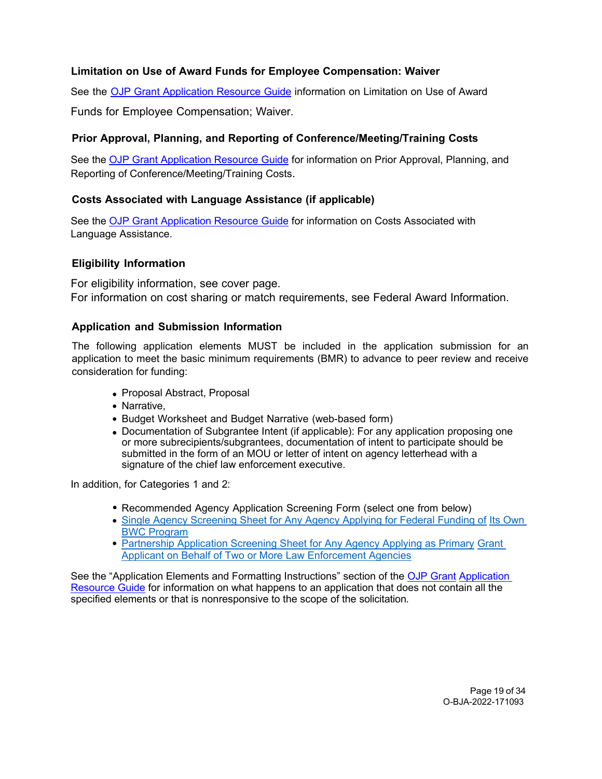# **Limitation on Use of Award Funds for Employee Compensation: Waiver**

See the OJP Grant [Application](https://www.ojp.gov/funding/apply/ojp-grant-application-resource-guide#limitation-use-award) Resource Guide information on Limitation on Use of Award

Funds for Employee Compensation; Waiver.

# <span id="page-18-0"></span>**Prior Approval, Planning, and Reporting of Conference/Meeting/Training Costs**

See the [OJP Grant Application Resource Guide](https://www.ojp.gov/funding/apply/ojp-grant-application-resource-guide#prior-approval) for information on Prior Approval, Planning, and Reporting of Conference/Meeting/Training Costs.

# <span id="page-18-1"></span>**Costs Associated with Language Assistance (if applicable)**

See the [OJP Grant Application Resource Guide](https://www.ojp.gov/funding/apply/ojp-grant-application-resource-guide#costs-associated) for information on Costs Associated with Language Assistance.

# <span id="page-18-2"></span>**Eligibility Information**

For eligibility information, see cover page. For information on cost sharing or match requirements, see Federal Award Information.

### <span id="page-18-3"></span>**Application and Submission Information**

The following application elements MUST be included in the application submission for an application to meet the basic minimum requirements (BMR) to advance to peer review and receive consideration for funding:

- Proposal Abstract, Proposal
- Narrative,
- Budget Worksheet and Budget Narrative (web-based form)
- Documentation of Subgrantee Intent (if applicable): For any application proposing one or more subrecipients/subgrantees, documentation of intent to participate should be submitted in the form of an MOU or letter of intent on agency letterhead with a signature of the chief law enforcement executive.

In addition, for Categories 1 and 2:

- Recommended Agency Application Screening Form (select one from below)
- [Single Agency Screening Sheet for Any Agency Applying for Federal Funding of](https://bja.ojp.gov/sites/g/files/xyckuh186/files/media/document/BWCPIPFY2021_ScreeningForm_SingularApplication_508C.pdf) [Its Own](https://bja.ojp.gov/sites/g/files/xyckuh186/files/media/document/BWCPIPFY2021_ScreeningForm_SingularApplication_508C.pdf)  [BWC Program](https://bja.ojp.gov/sites/g/files/xyckuh186/files/media/document/BWCPIPFY2021_ScreeningForm_SingularApplication_508C.pdf)
- [Partnership Application Screening Sheet for Any Agency Applying as Primary](https://bja.ojp.gov/sites/g/files/xyckuh186/files/media/document/BWCPIPFY2021_ScreeningForm_PartnerApplication_508C.pdf) Grant [Applicant on Behalf of Two or More Law Enforcement Agencies](https://bja.ojp.gov/sites/g/files/xyckuh186/files/media/document/BWCPIPFY2021_ScreeningForm_PartnerApplication_508C.pdf)

<span id="page-18-4"></span>See the "Application Elements and Formatting Instructions" section of the [OJP Grant](https://www.ojp.gov/funding/apply/ojp-grant-application-resource-guide#application-elements) [Application](https://www.ojp.gov/funding/apply/ojp-grant-application-resource-guide#application-elements)  [Resource Guide](https://www.ojp.gov/funding/apply/ojp-grant-application-resource-guide#application-elements) for information on what happens to an application that does not contain all the specified elements or that is nonresponsive to the scope of the solicitation*.*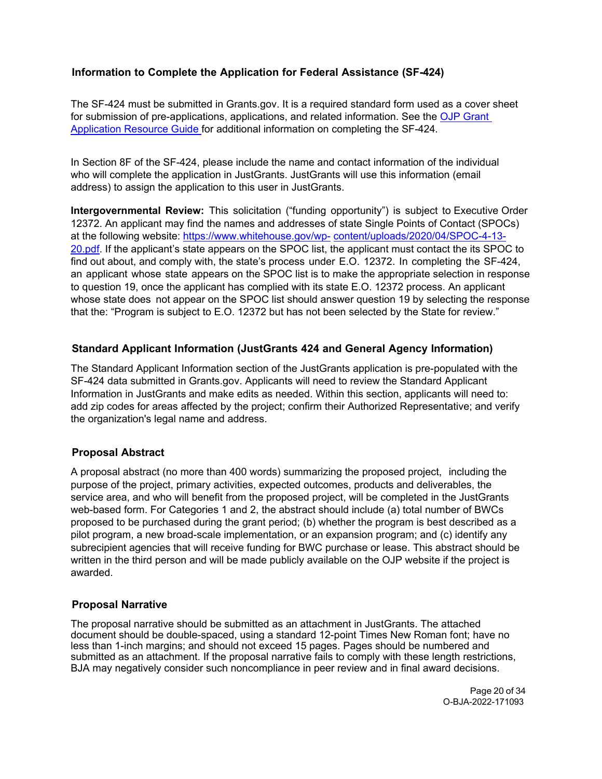# **Information to Complete the Application for Federal Assistance (SF-424)**

The SF-424 must be submitted in Grants.gov. It is a required standard form used as a cover sheet for submission of pre-applications, applications, and related information. See the [OJP Grant](https://www.ojp.gov/funding/apply/ojp-grant-application-resource-guide#complete-application)  [Application Resource Guide f](https://www.ojp.gov/funding/apply/ojp-grant-application-resource-guide#complete-application)or additional information on completing the SF-424.

In Section 8F of the SF-424, please include the name and contact information of the individual who will complete the application in JustGrants. JustGrants will use this information (email address) to assign the application to this user in JustGrants.

**Intergovernmental Review:** This solicitation ("funding opportunity") is subject to Executive Order 12372. An applicant may find the names and addresses of state Single Points of Contact (SPOCs) at the following website: [https://www.whitehouse.gov/wp-](https://www.whitehouse.gov/wp-%20content/uploads/2020/04/SPOC-4-13-20.pdf) [content/uploads/2020/04/SPOC-4-13-](https://www.whitehouse.gov/wp-%20content/uploads/2020/04/SPOC-4-13-20.pdf) [20.pdf.](https://www.whitehouse.gov/wp-%20content/uploads/2020/04/SPOC-4-13-20.pdf) If the applicant's state appears on the SPOC list, the applicant must contact the its SPOC to find out about, and comply with, the state's process under E.O. 12372. In completing the SF-424, an applicant whose state appears on the SPOC list is to make the appropriate selection in response to question 19, once the applicant has complied with its state E.O. 12372 process. An applicant whose state does not appear on the SPOC list should answer question 19 by selecting the response that the: "Program is subject to E.O. 12372 but has not been selected by the State for review."

### <span id="page-19-0"></span>**Standard Applicant Information (JustGrants 424 and General Agency Information)**

The Standard Applicant Information section of the JustGrants application is pre-populated with the SF-424 data submitted in Grants.gov. Applicants will need to review the Standard Applicant Information in JustGrants and make edits as needed. Within this section, applicants will need to: add zip codes for areas affected by the project; confirm their Authorized Representative; and verify the organization's legal name and address.

### <span id="page-19-1"></span>**Proposal Abstract**

A proposal abstract (no more than 400 words) summarizing the proposed project, including the purpose of the project, primary activities, expected outcomes, products and deliverables, the service area, and who will benefit from the proposed project, will be completed in the JustGrants web-based form. For Categories 1 and 2, the abstract should include (a) total number of BWCs proposed to be purchased during the grant period; (b) whether the program is best described as a pilot program, a new broad-scale implementation, or an expansion program; and (c) identify any subrecipient agencies that will receive funding for BWC purchase or lease. This abstract should be written in the third person and will be made publicly available on the OJP website if the project is awarded.

#### <span id="page-19-2"></span>**Proposal Narrative**

The proposal narrative should be submitted as an attachment in JustGrants. The attached document should be double-spaced, using a standard 12-point Times New Roman font; have no less than 1-inch margins; and should not exceed 15 pages. Pages should be numbered and submitted as an attachment. If the proposal narrative fails to comply with these length restrictions, BJA may negatively consider such noncompliance in peer review and in final award decisions.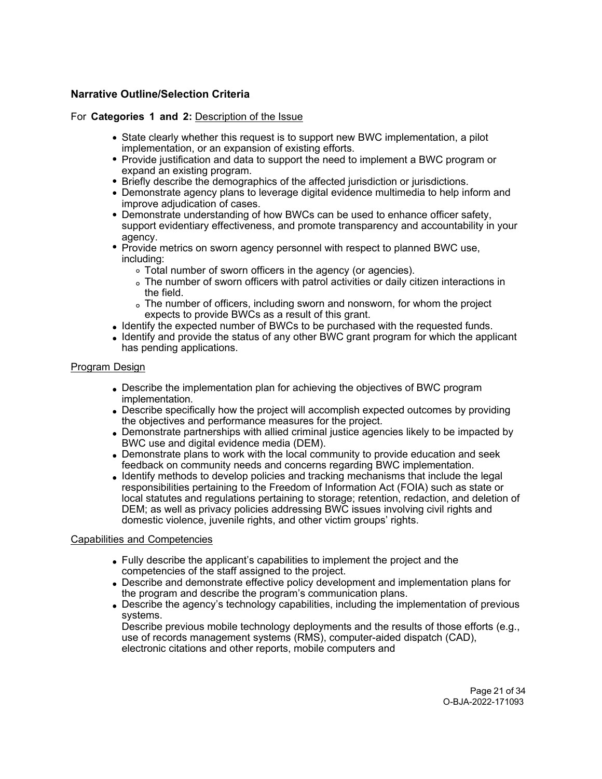### **Narrative Outline/Selection Criteria**

For **Categories 1 and 2:** Description of the Issue

- State clearly whether this request is to support new BWC implementation, a pilot implementation, or an expansion of existing efforts.
- Provide justification and data to support the need to implement a BWC program or expand an existing program.
- Briefly describe the demographics of the affected jurisdiction or jurisdictions.
- Demonstrate agency plans to leverage digital evidence multimedia to help inform and improve adjudication of cases.
- Demonstrate understanding of how BWCs can be used to enhance officer safety, support evidentiary effectiveness, and promote transparency and accountability in your agency.
- Provide metrics on sworn agency personnel with respect to planned BWC use, including:
	- Total number of sworn officers in the agency (or agencies).
	- The number of sworn officers with patrol activities or daily citizen interactions in the field.
	- The number of officers, including sworn and nonsworn, for whom the project expects to provide BWCs as a result of this grant.
- Identify the expected number of BWCs to be purchased with the requested funds.
- Identify and provide the status of any other BWC grant program for which the applicant has pending applications.

#### Program Design

- Describe the implementation plan for achieving the objectives of BWC program implementation.
- Describe specifically how the project will accomplish expected outcomes by providing the objectives and performance measures for the project.
- Demonstrate partnerships with allied criminal justice agencies likely to be impacted by BWC use and digital evidence media (DEM).
- Demonstrate plans to work with the local community to provide education and seek feedback on community needs and concerns regarding BWC implementation.
- Identify methods to develop policies and tracking mechanisms that include the legal responsibilities pertaining to the Freedom of Information Act (FOIA) such as state or local statutes and regulations pertaining to storage; retention, redaction, and deletion of DEM; as well as privacy policies addressing BWC issues involving civil rights and domestic violence, juvenile rights, and other victim groups' rights.

#### Capabilities and Competencies

- Fully describe the applicant's capabilities to implement the project and the competencies of the staff assigned to the project.
- Describe and demonstrate effective policy development and implementation plans for the program and describe the program's communication plans.
- Describe the agency's technology capabilities, including the implementation of previous systems.

Describe previous mobile technology deployments and the results of those efforts (e.g., use of records management systems (RMS), computer-aided dispatch (CAD), electronic citations and other reports, mobile computers and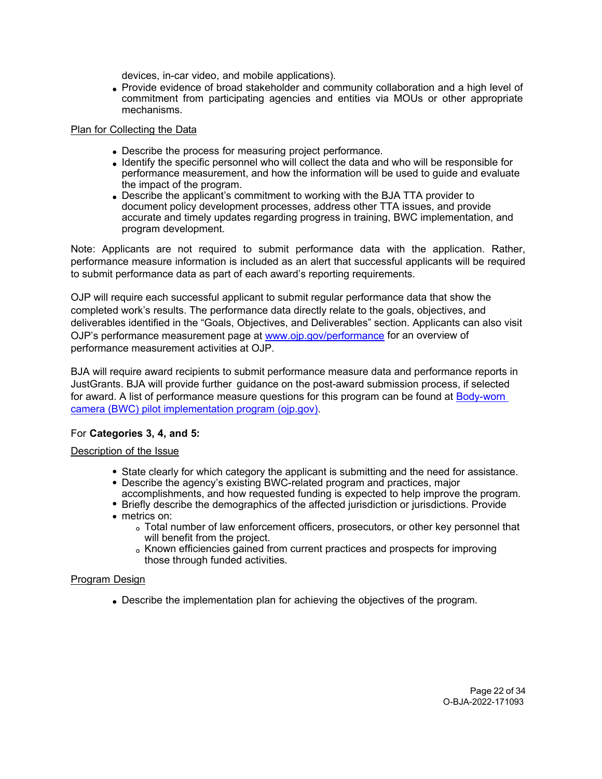devices, in-car video, and mobile applications).

Provide evidence of broad stakeholder and community collaboration and a high level of commitment from participating agencies and entities via MOUs or other appropriate mechanisms.

#### Plan for Collecting the Data

- Describe the process for measuring project performance.
- Identify the specific personnel who will collect the data and who will be responsible for performance measurement, and how the information will be used to guide and evaluate the impact of the program.
- Describe the applicant's commitment to working with the BJA TTA provider to document policy development processes, address other TTA issues, and provide accurate and timely updates regarding progress in training, BWC implementation, and program development.

Note: Applicants are not required to submit performance data with the application. Rather, performance measure information is included as an alert that successful applicants will be required to submit performance data as part of each award's reporting requirements.

OJP will require each successful applicant to submit regular performance data that show the completed work's results. The performance data directly relate to the goals, objectives, and deliverables identified in the "Goals, Objectives, and Deliverables" section. Applicants can also visit OJP's performance measurement page at [www.ojp.gov/performance](https://www.ojp.gov/performance) for an overview of performance measurement activities at OJP.

BJA will require award recipients to submit performance measure data and performance reports in JustGrants. BJA will provide further guidance on the post-award submission process, if selected for award. A list of performance measure questions for this program can be found at [Body-worn](https://bja.ojp.gov/sites/g/files/xyckuh186/files/media/document/BWC-Performance-Measures.pdf)  [camera \(BWC\) pilot implementation program \(ojp.gov\).](https://bja.ojp.gov/sites/g/files/xyckuh186/files/media/document/BWC-Performance-Measures.pdf)

### For **Categories 3, 4, and 5:**

#### Description of the Issue

- State clearly for which category the applicant is submitting and the need for assistance.
- Describe the agency's existing BWC-related program and practices, major accomplishments, and how requested funding is expected to help improve the program.
- Briefly describe the demographics of the affected jurisdiction or jurisdictions. Provide
- metrics on:
	- Total number of law enforcement officers, prosecutors, or other key personnel that will benefit from the project.
	- . Known efficiencies gained from current practices and prospects for improving those through funded activities.

#### Program Design

Describe the implementation plan for achieving the objectives of the program.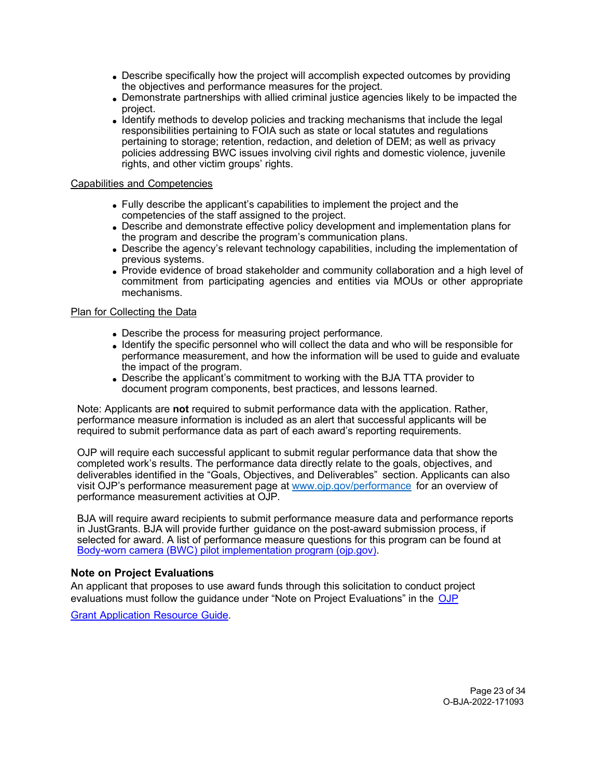- Describe specifically how the project will accomplish expected outcomes by providing the objectives and performance measures for the project.
- Demonstrate partnerships with allied criminal justice agencies likely to be impacted the project.
- Identify methods to develop policies and tracking mechanisms that include the legal responsibilities pertaining to FOIA such as state or local statutes and regulations pertaining to storage; retention, redaction, and deletion of DEM; as well as privacy policies addressing BWC issues involving civil rights and domestic violence, juvenile rights, and other victim groups' rights.

#### Capabilities and Competencies

- Fully describe the applicant's capabilities to implement the project and the competencies of the staff assigned to the project.
- Describe and demonstrate effective policy development and implementation plans for the program and describe the program's communication plans.
- Describe the agency's relevant technology capabilities, including the implementation of previous systems.
- Provide evidence of broad stakeholder and community collaboration and a high level of commitment from participating agencies and entities via MOUs or other appropriate mechanisms.

#### Plan for Collecting the Data

- Describe the process for measuring project performance.
- Identify the specific personnel who will collect the data and who will be responsible for performance measurement, and how the information will be used to guide and evaluate the impact of the program.
- Describe the applicant's commitment to working with the BJA TTA provider to document program components, best practices, and lessons learned.

Note: Applicants are **not** required to submit performance data with the application. Rather, performance measure information is included as an alert that successful applicants will be required to submit performance data as part of each award's reporting requirements.

OJP will require each successful applicant to submit regular performance data that show the completed work's results. The performance data directly relate to the goals, objectives, and deliverables identified in the "Goals, Objectives, and Deliverables" section. Applicants can also visit OJP's performance measurement page at [www.ojp.gov/performance](https://www.ojp.gov/performance) for an overview of performance measurement activities at OJP.

BJA will require award recipients to submit performance measure data and performance reports in JustGrants. BJA will provide further guidance on the post-award submission process, if selected for award. A list of performance measure questions for this program can be found at [Body-worn camera \(BWC\) pilot implementation program \(ojp.gov\).](https://bja.ojp.gov/sites/g/files/xyckuh186/files/media/document/BWC-Performance-Measures.pdf)

#### **Note on Project Evaluations**

An applicant that proposes to use award funds through this solicitation to conduct project evaluations must follow the guidance under "Note on Project Evaluations" in the [OJP](https://www.ojp.gov/funding/apply/ojp-grant-application-resource-guide#project-evaluations)

Grant [Application](https://www.ojp.gov/funding/apply/ojp-grant-application-resource-guide#project-evaluations) Resource Guide.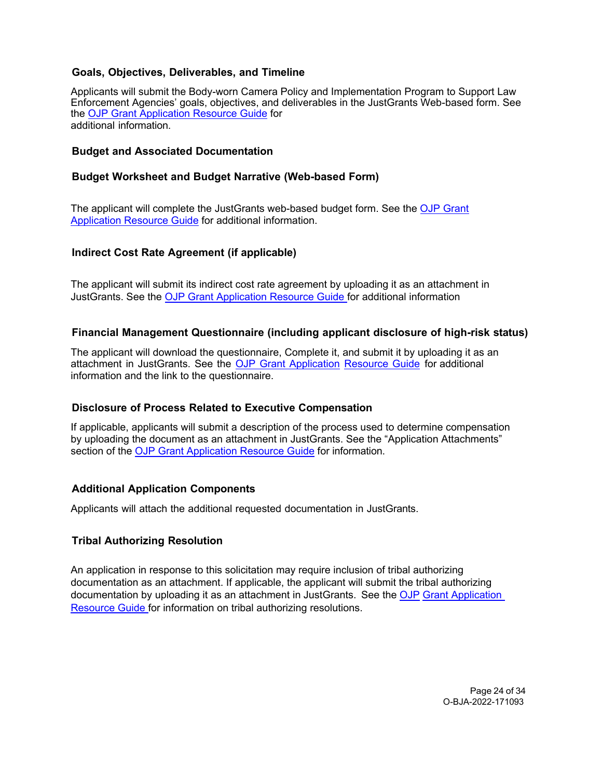### <span id="page-23-0"></span>**Goals, Objectives, Deliverables, and Timeline**

Applicants will submit the Body-worn Camera Policy and Implementation Program to Support Law Enforcement Agencies' goals, objectives, and deliverables in the JustGrants Web-based form. See the [OJP Grant Application Resource Guide](https://www.ojp.gov/funding/apply/ojp-grant-application-resource-guide) for additional information.

#### <span id="page-23-1"></span>**Budget and Associated Documentation**

#### <span id="page-23-2"></span>**Budget Worksheet and Budget Narrative (Web-based Form)**

The applicant will complete the JustGrants web-based budget form. See the [OJP Grant](https://www.ojp.gov/funding/apply/ojp-grant-application-resource-guide#budget-prep) [Application Resource Guide](https://www.ojp.gov/funding/apply/ojp-grant-application-resource-guide#budget-prep) for additional information.

#### <span id="page-23-3"></span>**Indirect Cost Rate Agreement (if applicable)**

The applicant will submit its indirect cost rate agreement by uploading it as an attachment in JustGrants. See the [OJP Grant Application Resource Guide f](https://www.ojp.gov/funding/apply/ojp-grant-application-resource-guide#budget-prep)or additional information

#### <span id="page-23-4"></span>**Financial Management Questionnaire (including applicant disclosure of high-risk status)**

The applicant will download the questionnaire, Complete it, and submit it by uploading it as an attachment in JustGrants. See the OJP Grant [Application](https://www.ojp.gov/funding/apply/ojp-grant-application-resource-guide#fm-internal-controls-questionnaire) [Resource](https://www.ojp.gov/funding/apply/ojp-grant-application-resource-guide#fm-internal-controls-questionnaire) Guide for additional information and the link to the questionnaire.

#### <span id="page-23-5"></span>**Disclosure of Process Related to Executive Compensation**

If applicable, applicants will submit a description of the process used to determine compensation by uploading the document as an attachment in JustGrants. See the "Application Attachments" section of the [OJP Grant Application Resource Guide](https://www.ojp.gov/funding/apply/ojp-grant-application-resource-guide#application-attachments) for information.

#### <span id="page-23-6"></span>**Additional Application Components**

Applicants will attach the additional requested documentation in JustGrants.

#### <span id="page-23-7"></span>**Tribal Authorizing Resolution**

An application in response to this solicitation may require inclusion of tribal authorizing documentation as an attachment. If applicable, the applicant will submit the tribal authorizing documentation by uploading it as an attachment in JustGrants. See the [OJP](https://www.ojp.gov/funding/apply/ojp-grant-application-resource-guide#tribal-authorizing-resolution) Grant Application [Resource Guide f](https://www.ojp.gov/funding/apply/ojp-grant-application-resource-guide#tribal-authorizing-resolution)or information on tribal authorizing resolutions.

> Page 24 of 34 O-BJA-2022-171093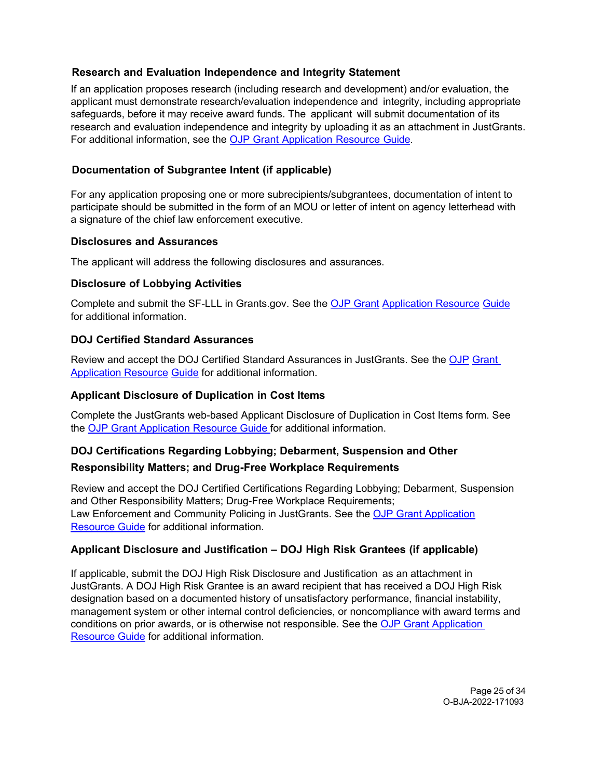### <span id="page-24-0"></span>**Research and Evaluation Independence and Integrity Statement**

If an application proposes research (including research and development) and/or evaluation, the applicant must demonstrate research/evaluation independence and integrity, including appropriate safeguards, before it may receive award funds. The applicant will submit documentation of its research and evaluation independence and integrity by uploading it as an attachment in JustGrants. For additional information, see the OJP Grant [Application](https://www.ojp.gov/funding/apply/ojp-grant-application-resource-guide#research-evaluation) Resource Guide.

# <span id="page-24-1"></span>**Documentation of Subgrantee Intent (if applicable)**

For any application proposing one or more subrecipients/subgrantees, documentation of intent to participate should be submitted in the form of an MOU or letter of intent on agency letterhead with a signature of the chief law enforcement executive.

### <span id="page-24-2"></span>**Disclosures and Assurances**

The applicant will address the following disclosures and assurances.

### <span id="page-24-3"></span>**Disclosure of Lobbying Activities**

Complete and submit the SF-LLL in Grants.gov. See the [OJP Grant](https://www.ojp.gov/funding/apply/ojp-grant-application-resource-guide#apply) [Application Resource](https://www.ojp.gov/funding/apply/ojp-grant-application-resource-guide#apply) [Guide](https://www.ojp.gov/funding/apply/ojp-grant-application-resource-guide#apply) for additional information.

### <span id="page-24-4"></span>**DOJ Certified Standard Assurances**

Review and accept the DOJ Certified Standard Assurances in JustGrants. See the [OJP](https://www.ojp.gov/funding/apply/ojp-grant-application-resource-guide#administrative) [Grant](https://www.ojp.gov/funding/apply/ojp-grant-application-resource-guide#administrative)  [Application Resource](https://www.ojp.gov/funding/apply/ojp-grant-application-resource-guide#administrative) [Guide](https://www.ojp.gov/funding/apply/ojp-grant-application-resource-guide#administrative) for additional information.

### <span id="page-24-5"></span>**Applicant Disclosure of Duplication in Cost Items**

Complete the JustGrants web-based Applicant Disclosure of Duplication in Cost Items form. See the [OJP Grant Application](https://www.ojp.gov/funding/apply/ojp-grant-application-resource-guide#applicant-disclosure-pending-applications) Resource Guide for additional information.

### <span id="page-24-6"></span>**DOJ Certifications Regarding Lobbying; Debarment, Suspension and Other**

### **Responsibility Matters; and Drug-Free Workplace Requirements**

Review and accept the DOJ Certified Certifications Regarding Lobbying; Debarment, Suspension and Other Responsibility Matters; Drug-Free Workplace Requirements; Law Enforcement and Community Policing in JustGrants. See the OJP [Grant Application](https://www.ojp.gov/funding/apply/ojp-grant-application-resource-guide#administrative) [Resource Guide](https://www.ojp.gov/funding/apply/ojp-grant-application-resource-guide#administrative) for additional information.

### <span id="page-24-7"></span>**Applicant Disclosure and Justification – DOJ High Risk Grantees (if applicable)**

<span id="page-24-8"></span>If applicable, submit the DOJ High Risk Disclosure and Justification as an attachment in JustGrants. A DOJ High Risk Grantee is an award recipient that has received a DOJ High Risk designation based on a documented history of unsatisfactory performance, financial instability, management system or other internal control deficiencies, or noncompliance with award terms and conditions on prior awards, or is otherwise not responsible. See the [OJP Grant Application](https://www.ojp.gov/funding/apply/ojp-grant-application-resource-guide#applicant-disclosure-justification)  [Resource Guide](https://www.ojp.gov/funding/apply/ojp-grant-application-resource-guide#applicant-disclosure-justification) for additional information.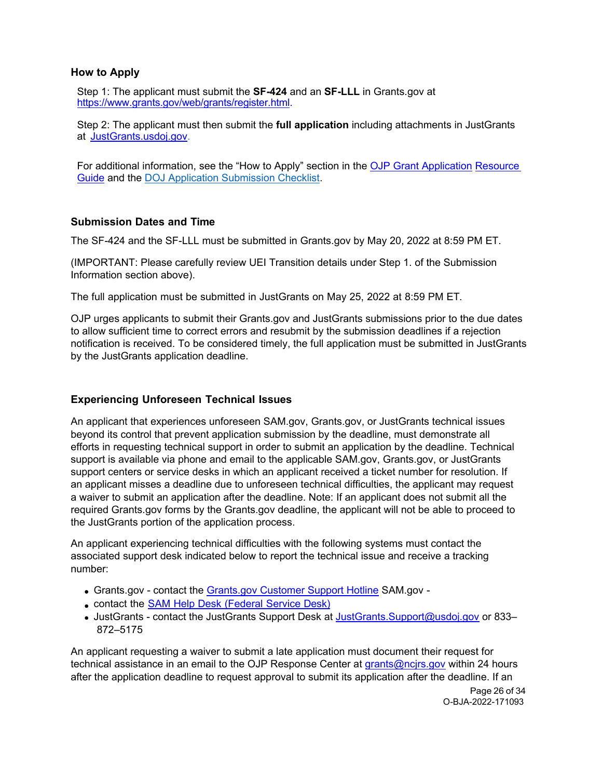### **How to Apply**

Step 1: The applicant must submit the **SF-424** and an **SF-LLL** in Grants.gov at [https://www.grants.gov/web/grants/register.html.](https://www.grants.gov/web/grants/register.html)

Step 2: The applicant must then submit the **full application** including attachments in JustGrants at [JustGrants.usdoj.gov.](https://justicegrants.usdoj.gov/)

<span id="page-25-0"></span>For additional information, see the "How to Apply" section in the [OJP Grant Application](https://www.ojp.gov/funding/apply/ojp-grant-application-resource-guide#apply) [Resource](https://www.ojp.gov/funding/apply/ojp-grant-application-resource-guide#apply)  [Guide](https://www.ojp.gov/funding/apply/ojp-grant-application-resource-guide#apply) and the [DOJ Application Submission Checklist.](https://justicegrants.usdoj.gov/sites/g/files/xyckuh296/files/media/document/appln-submission-checklist.pdf)

### **Submission Dates and Time**

The SF-424 and the SF-LLL must be submitted in Grants.gov by May 20, 2022 at 8:59 PM ET.

(IMPORTANT: Please carefully review UEI Transition details under Step 1. of the Submission Information section above).

The full application must be submitted in JustGrants on May 25, 2022 at 8:59 PM ET.

OJP urges applicants to submit their Grants.gov and JustGrants submissions prior to the due dates to allow sufficient time to correct errors and resubmit by the submission deadlines if a rejection notification is received. To be considered timely, the full application must be submitted in JustGrants by the JustGrants application deadline.

#### **Experiencing Unforeseen Technical Issues**

An applicant that experiences unforeseen SAM.gov, Grants.gov, or JustGrants technical issues beyond its control that prevent application submission by the deadline, must demonstrate all efforts in requesting technical support in order to submit an application by the deadline. Technical support is available via phone and email to the applicable SAM.gov, Grants.gov, or JustGrants support centers or service desks in which an applicant received a ticket number for resolution. If an applicant misses a deadline due to unforeseen technical difficulties, the applicant may request a waiver to submit an application after the deadline. Note: If an applicant does not submit all the required Grants.gov forms by the Grants.gov deadline, the applicant will not be able to proceed to the JustGrants portion of the application process.

An applicant experiencing technical difficulties with the following systems must contact the associated support desk indicated below to report the technical issue and receive a tracking number:

- Grants.gov contact the [Grants.gov Customer Support Hotline](https://www.grants.gov/web/grants/support.html) SAM.gov -
- contact the SAM Help Desk [\(Federal](https://www.fsd.gov/gsafsd_sp) Service Desk)
- JustGrants contact the JustGrants Support Desk at JustGrants. Support@usdoj.gov or 833-872–5175

An applicant requesting a waiver to submit a late application must document their request for technical assistance in an email to the OJP Response Center at grants@ncjrs.gov within 24 hours after the application deadline to request approval to submit its application after the deadline. If an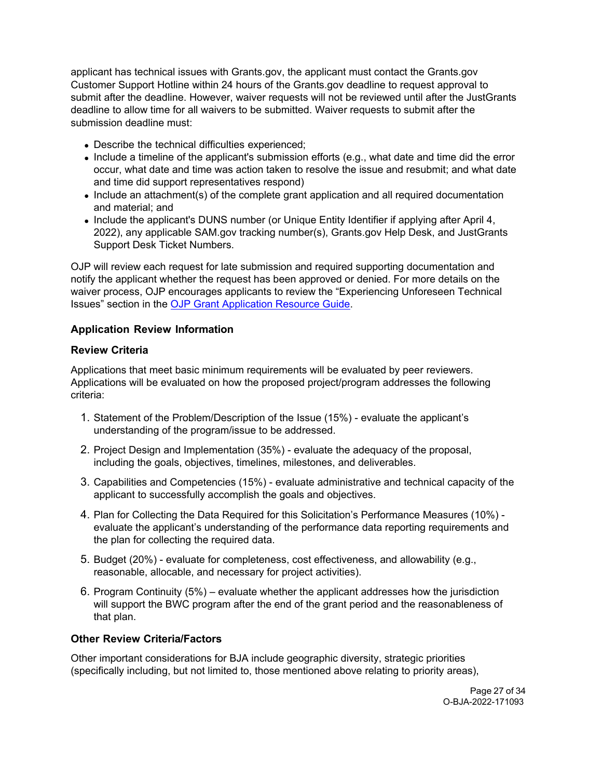applicant has technical issues with Grants.gov, the applicant must contact the Grants.gov Customer Support Hotline within 24 hours of the Grants.gov deadline to request approval to submit after the deadline. However, waiver requests will not be reviewed until after the JustGrants deadline to allow time for all waivers to be submitted. Waiver requests to submit after the submission deadline must:

- Describe the technical difficulties experienced;
- Include a timeline of the applicant's submission efforts (e.g., what date and time did the error occur, what date and time was action taken to resolve the issue and resubmit; and what date and time did support representatives respond)
- Include an attachment(s) of the complete grant application and all required documentation and material; and
- Include the applicant's DUNS number (or Unique Entity Identifier if applying after April 4, 2022), any applicable SAM.gov tracking number(s), Grants.gov Help Desk, and JustGrants Support Desk Ticket Numbers.

OJP will review each request for late submission and required supporting documentation and notify the applicant whether the request has been approved or denied. For more details on the waiver process, OJP encourages applicants to review the "Experiencing Unforeseen Technical Issues" section in the [OJP Grant Application Resource Guide.](https://www.ojp.gov/funding/apply/ojp-grant-application-resource-guide#experiencing-unforeseen-technical-issues)

### <span id="page-26-0"></span>**Application Review Information**

### <span id="page-26-1"></span>**Review Criteria**

Applications that meet basic minimum requirements will be evaluated by peer reviewers. Applications will be evaluated on how the proposed project/program addresses the following criteria:

- 1. Statement of the Problem/Description of the Issue (15%) evaluate the applicant's understanding of the program/issue to be addressed.
- 2. Project Design and Implementation (35%) evaluate the adequacy of the proposal, including the goals, objectives, timelines, milestones, and deliverables.
- 3. Capabilities and Competencies (15%) evaluate administrative and technical capacity of the applicant to successfully accomplish the goals and objectives.
- 4. Plan for Collecting the Data Required for this Solicitation's Performance Measures (10%) evaluate the applicant's understanding of the performance data reporting requirements and the plan for collecting the required data.
- 5. Budget (20%) evaluate for completeness, cost effectiveness, and allowability (e.g., reasonable, allocable, and necessary for project activities).
- 6. Program Continuity (5%) evaluate whether the applicant addresses how the jurisdiction will support the BWC program after the end of the grant period and the reasonableness of that plan.

### **Other Review Criteria/Factors**

Other important considerations for BJA include geographic diversity, strategic priorities (specifically including, but not limited to, those mentioned above relating to priority areas),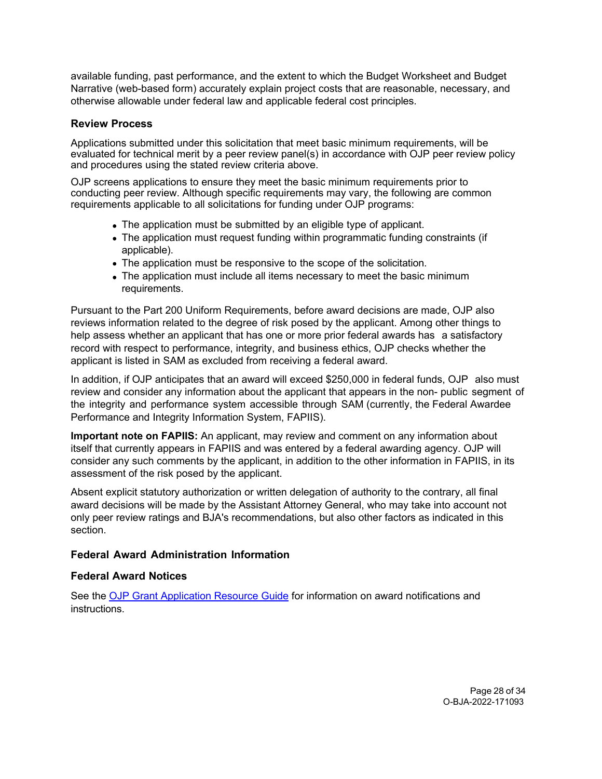available funding, past performance, and the extent to which the Budget Worksheet and Budget Narrative (web-based form) accurately explain project costs that are reasonable, necessary, and otherwise allowable under federal law and applicable federal cost principles.

#### <span id="page-27-0"></span>**Review Process**

Applications submitted under this solicitation that meet basic minimum requirements, will be evaluated for technical merit by a peer review panel(s) in accordance with OJP peer review policy and procedures using the stated review criteria above.

OJP screens applications to ensure they meet the basic minimum requirements prior to conducting peer review. Although specific requirements may vary, the following are common requirements applicable to all solicitations for funding under OJP programs:

- The application must be submitted by an eligible type of applicant.
- The application must request funding within programmatic funding constraints (if applicable).
- The application must be responsive to the scope of the solicitation.
- The application must include all items necessary to meet the basic minimum requirements.

Pursuant to the Part 200 Uniform Requirements, before award decisions are made, OJP also reviews information related to the degree of risk posed by the applicant. Among other things to help assess whether an applicant that has one or more prior federal awards has a satisfactory record with respect to performance, integrity, and business ethics, OJP checks whether the applicant is listed in SAM as excluded from receiving a federal award.

In addition, if OJP anticipates that an award will exceed \$250,000 in federal funds, OJP also must review and consider any information about the applicant that appears in the non- public segment of the integrity and performance system accessible through SAM (currently, the Federal Awardee Performance and Integrity Information System, FAPIIS).

**Important note on FAPIIS:** An applicant, may review and comment on any information about itself that currently appears in FAPIIS and was entered by a federal awarding agency. OJP will consider any such comments by the applicant, in addition to the other information in FAPIIS, in its assessment of the risk posed by the applicant.

Absent explicit statutory authorization or written delegation of authority to the contrary, all final award decisions will be made by the Assistant Attorney General, who may take into account not only peer review ratings and BJA's recommendations, but also other factors as indicated in this section.

### <span id="page-27-1"></span>**Federal Award Administration Information**

### <span id="page-27-2"></span>**Federal Award Notices**

See the [OJP Grant Application Resource Guide](https://www.ojp.gov/funding/apply/ojp-grant-application-resource-guide#federal-award-notices) for information on award notifications and instructions.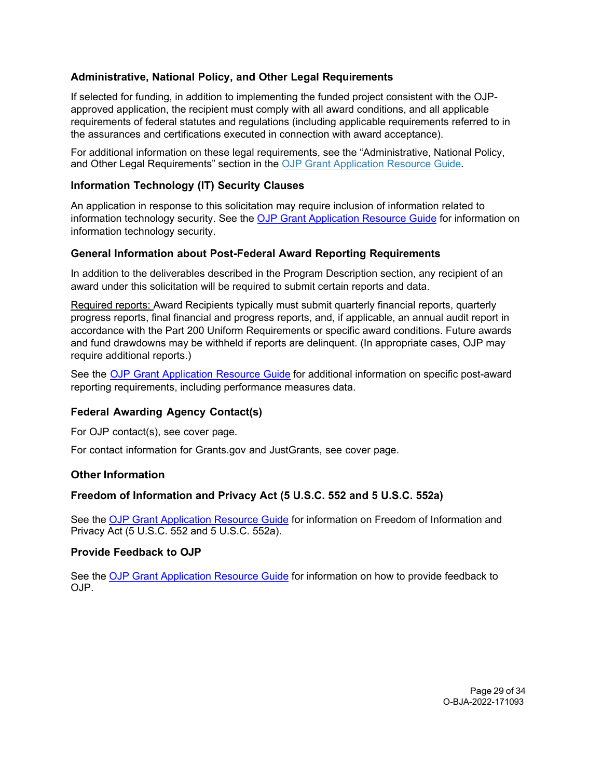### <span id="page-28-0"></span>**Administrative, National Policy, and Other Legal Requirements**

If selected for funding, in addition to implementing the funded project consistent with the OJPapproved application, the recipient must comply with all award conditions, and all applicable requirements of federal statutes and regulations (including applicable requirements referred to in the assurances and certifications executed in connection with award acceptance).

For additional information on these legal requirements, see the "Administrative, National Policy, and Other Legal Requirements" section in the [OJP Grant Application Resource](https://www.ojp.gov/funding/apply/ojp-grant-application-resource-guide#administrative) [Guide.](https://www.ojp.gov/funding/apply/ojp-grant-application-resource-guide#administrative)

### <span id="page-28-1"></span>**Information Technology (IT) Security Clauses**

An application in response to this solicitation may require inclusion of information related to information technology security. See the [OJP Grant Application Resource Guide](https://www.ojp.gov/funding/apply/ojp-grant-application-resource-guide#information-technology) for information on information technology security.

### <span id="page-28-2"></span>**General Information about Post-Federal Award Reporting Requirements**

In addition to the deliverables described in the Program Description section, any recipient of an award under this solicitation will be required to submit certain reports and data.

Required reports: Award Recipients typically must submit quarterly financial reports, quarterly progress reports, final financial and progress reports, and, if applicable, an annual audit report in accordance with the Part 200 Uniform Requirements or specific award conditions. Future awards and fund drawdowns may be withheld if reports are delinquent. (In appropriate cases, OJP may require additional reports.)

See the OJP Grant [Application](https://www.ojp.gov/funding/apply/ojp-grant-application-resource-guide#general-information) Resource Guide for additional information on specific post-award reporting requirements, including performance measures data.

### <span id="page-28-3"></span>**Federal Awarding Agency Contact(s)**

For OJP contact(s), see cover page.

For contact information for Grants.gov and JustGrants, see cover page.

#### <span id="page-28-4"></span>**Other Information**

#### <span id="page-28-5"></span>**Freedom of Information and Privacy Act (5 U.S.C. 552 and 5 U.S.C. 552a)**

See the [OJP Grant Application Resource Guide](https://www.ojp.gov/funding/apply/ojp-grant-application-resource-guide#foia) for information on Freedom of Information and Privacy Act (5 U.S.C. 552 and 5 U.S.C. 552a).

#### <span id="page-28-6"></span>**Provide Feedback to OJP**

See the [OJP Grant Application Resource Guide](https://www.ojp.gov/funding/apply/ojp-grant-application-resource-guide#feedback) for information on how to provide feedback to OJP.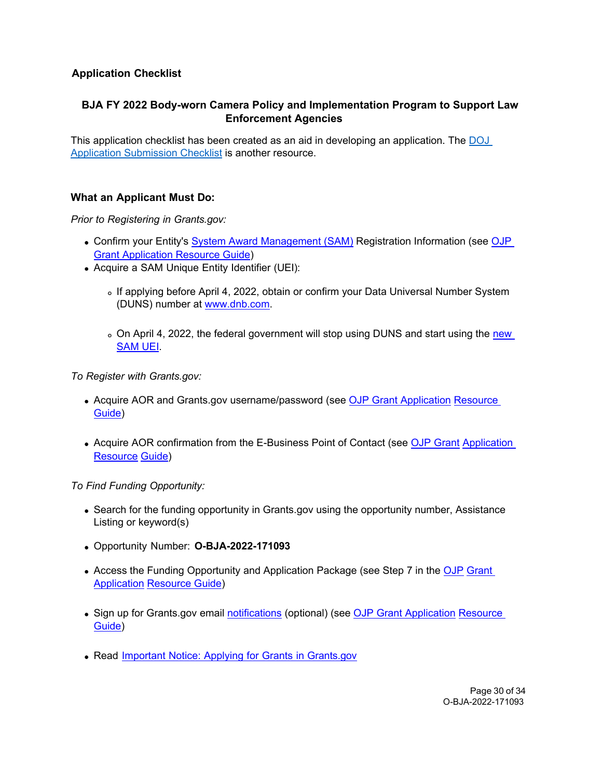# <span id="page-29-0"></span>**Application Checklist**

# **BJA FY 2022 Body-worn Camera Policy and Implementation Program to Support Law Enforcement Agencies**

This application checklist has been created as an aid in developing an application. The [DOJ](https://justicegrants.usdoj.gov/sites/g/files/xyckuh296/files/media/document/appln-submission-checklist.pdf)  [Application Submission Checklist](https://justicegrants.usdoj.gov/sites/g/files/xyckuh296/files/media/document/appln-submission-checklist.pdf) is another resource.

# **What an Applicant Must Do:**

*Prior to Registering in Grants.gov:*

- Confirm your Entity's System Award [Management \(SAM\)](https://sam.gov/SAM/) Registration Information (see [OJP](https://www.ojp.gov/funding/apply/ojp-grant-application-resource-guide#apply)  [Grant Application Resource Guide\)](https://www.ojp.gov/funding/apply/ojp-grant-application-resource-guide#apply)
- Acquire a SAM Unique Entity Identifier (UEI):
	- o If applying before April 4, 2022, obtain or confirm your Data Universal Number System (DUNS) number at [www.dnb.com.](http://www.dnb.com/)
	- o On April 4, 2022, the federal government will stop using DUNS and start using the new [SAM UEI.](https://justicegrants.usdoj.gov/resources/system-for-award-management#transition-to-unique-entity-id-sam)

*To Register with Grants.gov:*

- Acquire AOR and Grants.gov username/password (see [OJP Grant Application](https://www.ojp.gov/funding/apply/ojp-grant-application-resource-guide#apply) Resource [Guide\)](https://www.ojp.gov/funding/apply/ojp-grant-application-resource-guide#apply)
- Acquire AOR confirmation from the E-Business Point of Contact (see [OJP Grant](https://www.ojp.gov/funding/apply/ojp-grant-application-resource-guide#apply) Application [Resource](https://www.ojp.gov/funding/apply/ojp-grant-application-resource-guide#apply) [Guide\)](https://www.ojp.gov/funding/apply/ojp-grant-application-resource-guide#apply)

*To Find Funding Opportunity:*

- Search for the funding opportunity in Grants.gov using the opportunity number, Assistance Listing or keyword(s)
- Opportunity Number: **O-BJA-2022-171093**
- Access the Funding Opportunity and Application Package (see Step 7 in the [OJP](https://www.ojp.gov/funding/apply/ojp-grant-application-resource-guide#apply) [Grant](https://www.ojp.gov/funding/apply/ojp-grant-application-resource-guide#apply)  [Application](https://www.ojp.gov/funding/apply/ojp-grant-application-resource-guide#apply) [Resource Guide\)](https://www.ojp.gov/funding/apply/ojp-grant-application-resource-guide#apply)
- Sign up for Grants.gov email [notifications](https://www.grants.gov/web/grants/manage-subscriptions.html) (optional) (see [OJP Grant Application](https://www.ojp.gov/funding/apply/ojp-grant-application-resource-guide#apply) Resource [Guide\)](https://www.ojp.gov/funding/apply/ojp-grant-application-resource-guide#apply)
- Read Important Notice: Applying for Grants in [Grants.gov](https://ojp.gov/funding/Apply/Grants-govInfo.htm)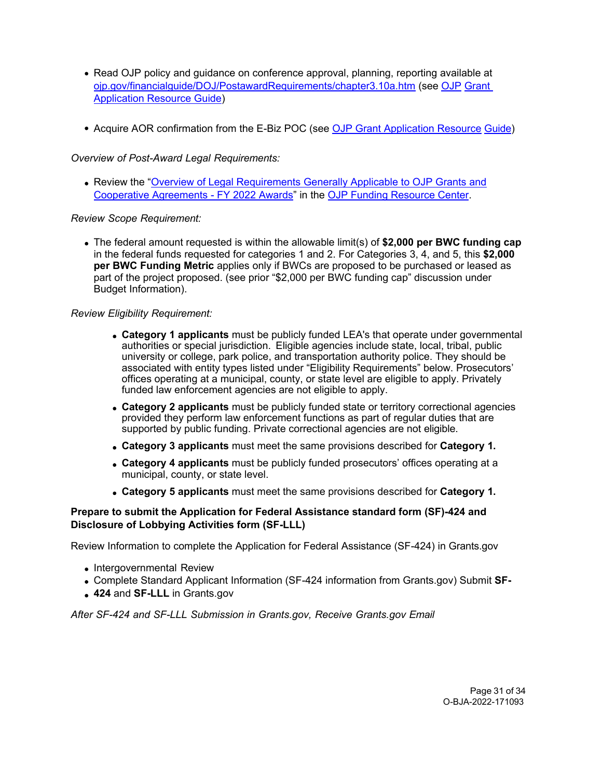- Read OJP policy and guidance on conference approval, planning, reporting available at [ojp.gov/financialguide/DOJ/PostawardRequirements/chapter3.10a.htm](https://ojp.gov/financialguide/DOJ/PostawardRequirements/chapter3.10a.htm) (see [OJP](https://www.ojp.gov/funding/apply/ojp-grant-application-resource-guide#prior-approval) [Grant](https://www.ojp.gov/funding/apply/ojp-grant-application-resource-guide#prior-approval)  [Application Resource Guide\)](https://www.ojp.gov/funding/apply/ojp-grant-application-resource-guide#prior-approval)
- Acquire AOR confirmation from the E-Biz POC (see [OJP Grant Application Resource](https://www.ojp.gov/funding/apply/ojp-grant-application-resource-guide#apply) [Guide\)](https://www.ojp.gov/funding/apply/ojp-grant-application-resource-guide#apply)

*Overview of Post-Award Legal Requirements:*

Review the ["Overview of Legal Requirements Generally Applicable to OJP Grants and](https://www.ojp.gov/funding/explore/legal-overview-fy-2022-awards) [Cooperative Agreements - FY 2022 Awards"](https://www.ojp.gov/funding/explore/legal-overview-fy-2022-awards) in the [OJP Funding Resource Center.](https://www.ojp.gov/funding/index.htm)

### *Review Scope Requirement:*

The federal amount requested is within the allowable limit(s) of **\$2,000 per BWC funding cap** in the federal funds requested for categories 1 and 2. For Categories 3, 4, and 5, this **\$2,000 per BWC Funding Metric** applies only if BWCs are proposed to be purchased or leased as part of the project proposed. (see prior "\$2,000 per BWC funding cap" discussion under Budget Information).

### *Review Eligibility Requirement:*

- **Category 1 applicants** must be publicly funded LEA's that operate under governmental authorities or special jurisdiction. Eligible agencies include state, local, tribal, public university or college, park police, and transportation authority police. They should be associated with entity types listed under "Eligibility Requirements" below. Prosecutors' offices operating at a municipal, county, or state level are eligible to apply. Privately funded law enforcement agencies are not eligible to apply.
- **Category 2 applicants** must be publicly funded state or territory correctional agencies provided they perform law enforcement functions as part of regular duties that are supported by public funding. Private correctional agencies are not eligible.
- **Category 3 applicants** must meet the same provisions described for **Category 1.**
- **Category 4 applicants** must be publicly funded prosecutors' offices operating at a municipal, county, or state level.
- **Category 5 applicants** must meet the same provisions described for **Category 1.**

### **Prepare to submit the Application for Federal Assistance standard form (SF)-424 and Disclosure of Lobbying Activities form (SF-LLL)**

Review Information to complete the Application for Federal Assistance (SF-424) in Grants.gov

- Intergovernmental Review
- Complete Standard Applicant Information (SF-424 information from Grants.gov) Submit **SF-**
- **424** and **SF-LLL** in Grants.gov

*After SF-424 and SF-LLL Submission in Grants.gov, Receive Grants.gov Email*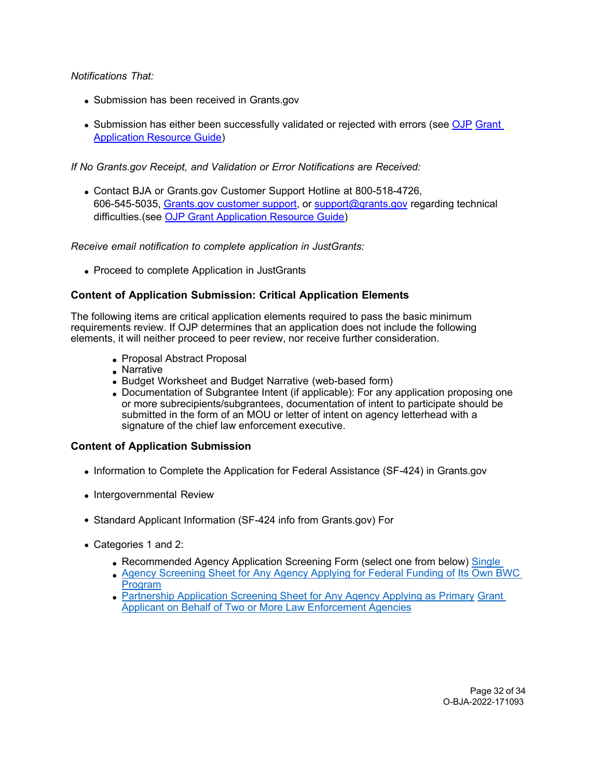*Notifications That:*

- Submission has been received in Grants.gov
- Submission has either been successfully validated or rejected with errors (see [OJP](https://www.ojp.gov/funding/apply/ojp-grant-application-resource-guide#apply) Grant [Application Resource Guide\)](https://www.ojp.gov/funding/apply/ojp-grant-application-resource-guide#apply)

*If No Grants.gov Receipt, and Validation or Error Notifications are Received:*

Contact BJA or Grants.gov Customer Support Hotline at 800-518-4726, 606-545-5035, [Grants.gov customer support,](https://www.grants.gov/web/grants/support.html) or [support@grants.gov](mailto:support@grants.gov) regarding technical difficulties.(see [OJP Grant Application Resource Guide\)](https://www.ojp.gov/funding/apply/ojp-grant-application-resource-guide#apply)

*Receive email notification to complete application in JustGrants:*

• Proceed to complete Application in JustGrants

### **Content of Application Submission: Critical Application Elements**

The following items are critical application elements required to pass the basic minimum requirements review. If OJP determines that an application does not include the following elements, it will neither proceed to peer review, nor receive further consideration.

- Proposal Abstract Proposal
- Narrative
- Budget Worksheet and Budget Narrative (web-based form)
- Documentation of Subgrantee Intent (if applicable): For any application proposing one or more subrecipients/subgrantees, documentation of intent to participate should be submitted in the form of an MOU or letter of intent on agency letterhead with a signature of the chief law enforcement executive.

### **Content of Application Submission**

- Information to Complete the Application for Federal Assistance (SF-424) in Grants.gov
- Intergovernmental Review
- Standard Applicant Information (SF-424 info from Grants.gov) For
- Categories 1 and 2:
	- Recommended Agency Application Screening Form (select one from below) Single
	- [Agency Screening Sheet for Any Agency Applying for Federal Funding of](https://bja.ojp.gov/sites/g/files/xyckuh186/files/media/document/BWCPIPFY2021_ScreeningForm_SingularApplication_508C.pdf) [Its Own BWC](https://bja.ojp.gov/sites/g/files/xyckuh186/files/media/document/BWCPIPFY2021_ScreeningForm_SingularApplication_508C.pdf)  [Program](https://bja.ojp.gov/sites/g/files/xyckuh186/files/media/document/BWCPIPFY2021_ScreeningForm_SingularApplication_508C.pdf)
	- [Partnership Application Screening Sheet for Any Agency Applying as Primary](https://bja.ojp.gov/sites/g/files/xyckuh186/files/media/document/BWCPIPFY2021_ScreeningForm_PartnerApplication_508C.pdf) [Grant](https://bja.ojp.gov/sites/g/files/xyckuh186/files/media/document/BWCPIPFY2021_ScreeningForm_PartnerApplication_508C.pdf)  [Applicant on Behalf of Two or More Law Enforcement Agencies](https://bja.ojp.gov/sites/g/files/xyckuh186/files/media/document/BWCPIPFY2021_ScreeningForm_PartnerApplication_508C.pdf)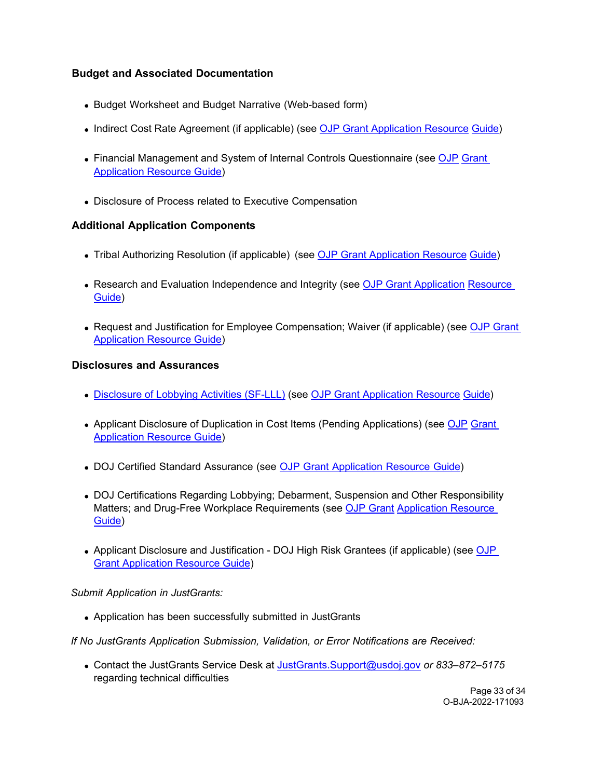# **Budget and Associated Documentation**

- Budget Worksheet and Budget Narrative (Web-based form)
- Indirect Cost Rate Agreement (if applicable) (see [OJP Grant Application Resource](https://www.ojp.gov/funding/apply/ojp-grant-application-resource-guide#indirect-cost) [Guide\)](https://www.ojp.gov/funding/apply/ojp-grant-application-resource-guide#indirect-cost)
- Financial Management and System of Internal Controls Questionnaire (see [OJP](https://www.ojp.gov/funding/apply/ojp-grant-application-resource-guide#fm-internal-controls-questionnaire) Grant [Application Resource Guide\)](https://www.ojp.gov/funding/apply/ojp-grant-application-resource-guide#fm-internal-controls-questionnaire)
- Disclosure of Process related to Executive Compensation

### **Additional Application Components**

- Tribal Authorizing Resolution (if applicable) (see [OJP Grant Application Resource](https://www.ojp.gov/funding/apply/ojp-grant-application-resource-guide#tribal-authorizing-resolution) [Guide\)](https://www.ojp.gov/funding/apply/ojp-grant-application-resource-guide#tribal-authorizing-resolution)
- Research and Evaluation Independence and Integrity (see [OJP Grant Application](https://www.ojp.gov/funding/apply/ojp-grant-application-resource-guide#research-evaluation) Resource [Guide\)](https://www.ojp.gov/funding/apply/ojp-grant-application-resource-guide#research-evaluation)
- Request and Justification for Employee Compensation; Waiver (if applicable) (see OJP Grant [Application Resource Guide\)](https://www.ojp.gov/funding/apply/ojp-grant-application-resource-guide#limitation-use-award)

#### **Disclosures and Assurances**

- [Disclosure of Lobbying Activities \(SF-LLL\)](https://ojp.gov/funding/Apply/Resources/Disclosure.pdf) (see [OJP Grant Application Resource](https://www.ojp.gov/funding/apply/ojp-grant-application-resource-guide#apply) [Guide\)](https://www.ojp.gov/funding/apply/ojp-grant-application-resource-guide#apply)
- Applicant Disclosure of Duplication in Cost Items (Pending Applications) (see [OJP](https://www.ojp.gov/funding/apply/ojp-grant-application-resource-guide#applicant-disclosure-pending-applications) [Grant](https://www.ojp.gov/funding/apply/ojp-grant-application-resource-guide#applicant-disclosure-pending-applications)  [Application Resource Guide\)](https://www.ojp.gov/funding/apply/ojp-grant-application-resource-guide#applicant-disclosure-pending-applications)
- DOJ Certified Standard Assurance (see OJP Grant [Application](https://www.ojp.gov/funding/apply/ojp-grant-application-resource-guide#administrative) Resource Guide)
- DOJ Certifications Regarding Lobbying; Debarment, Suspension and Other Responsibility Matters; and Drug-Free Workplace Requirements (see [OJP Grant](https://www.ojp.gov/funding/apply/ojp-grant-application-resource-guide#administrative) [Application Resource](https://www.ojp.gov/funding/apply/ojp-grant-application-resource-guide#administrative)  [Guide\)](https://www.ojp.gov/funding/apply/ojp-grant-application-resource-guide#administrative)
- Applicant Disclosure and Justification DOJ High Risk Grantees (if applicable) (see OJP [Grant Application Resource Guide\)](https://www.ojp.gov/funding/apply/ojp-grant-application-resource-guide#applicant-disclosure-justification)

#### *Submit Application in JustGrants:*

Application has been successfully submitted in JustGrants

*If No JustGrants Application Submission, Validation, or Error Notifications are Received:*

Contact the JustGrants Service Desk at [JustGrants.Support@usdoj.gov](mailto:JustGrants.Support@usdoj.gov) *or 833–872–5175*  regarding technical difficulties